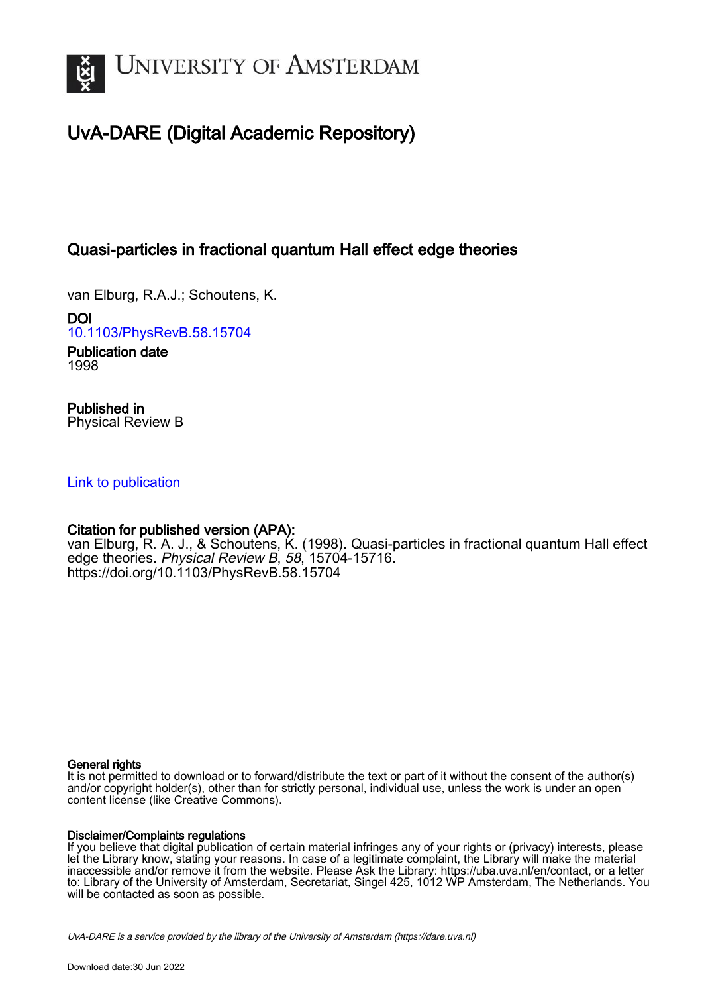

# UvA-DARE (Digital Academic Repository)

## Quasi-particles in fractional quantum Hall effect edge theories

van Elburg, R.A.J.; Schoutens, K.

DOI [10.1103/PhysRevB.58.15704](https://doi.org/10.1103/PhysRevB.58.15704)

Publication date 1998

Published in Physical Review B

## [Link to publication](https://dare.uva.nl/personal/pure/en/publications/quasiparticles-in-fractional-quantum-hall-effect-edge-theories(5114b579-8b5f-4d6e-998d-6b0f568e43d1).html)

## Citation for published version (APA):

van Elburg, R. A. J., & Schoutens, K. (1998). Quasi-particles in fractional quantum Hall effect edge theories. Physical Review B, 58, 15704-15716. <https://doi.org/10.1103/PhysRevB.58.15704>

## General rights

It is not permitted to download or to forward/distribute the text or part of it without the consent of the author(s) and/or copyright holder(s), other than for strictly personal, individual use, unless the work is under an open content license (like Creative Commons).

## Disclaimer/Complaints regulations

If you believe that digital publication of certain material infringes any of your rights or (privacy) interests, please let the Library know, stating your reasons. In case of a legitimate complaint, the Library will make the material inaccessible and/or remove it from the website. Please Ask the Library: https://uba.uva.nl/en/contact, or a letter to: Library of the University of Amsterdam, Secretariat, Singel 425, 1012 WP Amsterdam, The Netherlands. You will be contacted as soon as possible.

UvA-DARE is a service provided by the library of the University of Amsterdam (http*s*://dare.uva.nl)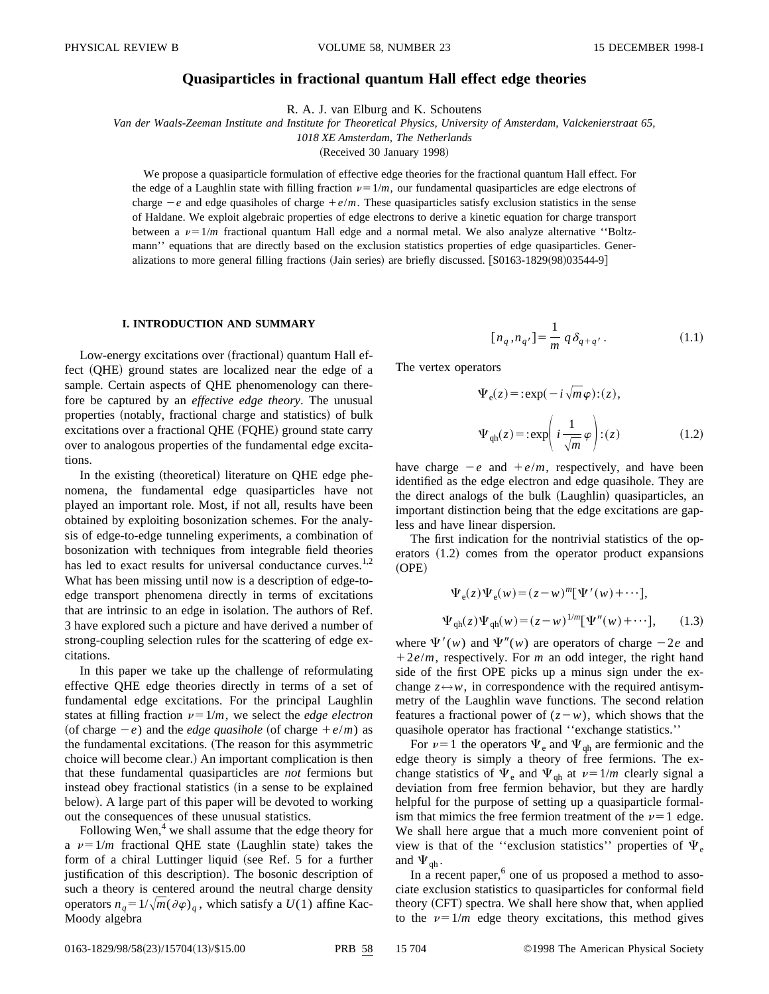### **Quasiparticles in fractional quantum Hall effect edge theories**

R. A. J. van Elburg and K. Schoutens

*Van der Waals-Zeeman Institute and Institute for Theoretical Physics, University of Amsterdam, Valckenierstraat 65,*

*1018 XE Amsterdam, The Netherlands*

(Received 30 January 1998)

We propose a quasiparticle formulation of effective edge theories for the fractional quantum Hall effect. For the edge of a Laughlin state with filling fraction  $\nu=1/m$ , our fundamental quasiparticles are edge electrons of charge  $-e$  and edge quasiholes of charge  $+e/m$ . These quasiparticles satisfy exclusion statistics in the sense of Haldane. We exploit algebraic properties of edge electrons to derive a kinetic equation for charge transport between a  $\nu=1/m$  fractional quantum Hall edge and a normal metal. We also analyze alternative ''Boltzmann'' equations that are directly based on the exclusion statistics properties of edge quasiparticles. Generalizations to more general filling fractions (Jain series) are briefly discussed. [S0163-1829(98)03544-9]

#### **I. INTRODUCTION AND SUMMARY**

Low-energy excitations over (fractional) quantum Hall effect (QHE) ground states are localized near the edge of a sample. Certain aspects of QHE phenomenology can therefore be captured by an *effective edge theory*. The unusual properties (notably, fractional charge and statistics) of bulk excitations over a fractional OHE (FOHE) ground state carry over to analogous properties of the fundamental edge excitations.

In the existing (theoretical) literature on QHE edge phenomena, the fundamental edge quasiparticles have not played an important role. Most, if not all, results have been obtained by exploiting bosonization schemes. For the analysis of edge-to-edge tunneling experiments, a combination of bosonization with techniques from integrable field theories has led to exact results for universal conductance curves.<sup>1,2</sup> What has been missing until now is a description of edge-toedge transport phenomena directly in terms of excitations that are intrinsic to an edge in isolation. The authors of Ref. 3 have explored such a picture and have derived a number of strong-coupling selection rules for the scattering of edge excitations.

In this paper we take up the challenge of reformulating effective QHE edge theories directly in terms of a set of fundamental edge excitations. For the principal Laughlin states at filling fraction  $\nu=1/m$ , we select the *edge electron* (of charge  $-e$ ) and the *edge quasihole* (of charge  $+e/m$ ) as the fundamental excitations. (The reason for this asymmetric choice will become clear.) An important complication is then that these fundamental quasiparticles are *not* fermions but instead obey fractional statistics (in a sense to be explained below). A large part of this paper will be devoted to working out the consequences of these unusual statistics.

Following Wen, $4$  we shall assume that the edge theory for a  $\nu=1/m$  fractional QHE state (Laughlin state) takes the form of a chiral Luttinger liquid (see Ref. 5 for a further justification of this description). The bosonic description of such a theory is centered around the neutral charge density operators  $n_q = 1/\sqrt{m(\partial \varphi)_q}$ , which satisfy a  $U(1)$  affine Kac-Moody algebra

$$
[n_q, n_{q'}] = \frac{1}{m} q \, \delta_{q+q'} . \tag{1.1}
$$

The vertex operators

$$
\Psi_{e}(z) = \operatorname{exp}(-i\sqrt{m}\varphi) : (z),
$$
  

$$
\Psi_{qh}(z) = \operatorname{exp}\left(i\frac{1}{\sqrt{m}}\varphi\right) : (z)
$$
 (1.2)

have charge  $-e$  and  $+e/m$ , respectively, and have been identified as the edge electron and edge quasihole. They are the direct analogs of the bulk (Laughlin) quasiparticles, an important distinction being that the edge excitations are gapless and have linear dispersion.

The first indication for the nontrivial statistics of the operators  $(1.2)$  comes from the operator product expansions  $(OPE)$ 

$$
\Psi_{e}(z)\Psi_{e}(w) = (z-w)^{m}[\Psi'(w) + \cdots],
$$
  

$$
\Psi_{qh}(z)\Psi_{qh}(w) = (z-w)^{1/m}[\Psi''(w) + \cdots], \qquad (1.3)
$$

where  $\Psi'(w)$  and  $\Psi''(w)$  are operators of charge  $-2e$  and  $12e/m$ , respectively. For *m* an odd integer, the right hand side of the first OPE picks up a minus sign under the exchange  $z \leftrightarrow w$ , in correspondence with the required antisymmetry of the Laughlin wave functions. The second relation features a fractional power of  $(z-w)$ , which shows that the quasihole operator has fractional ''exchange statistics.''

For  $\nu=1$  the operators  $\Psi_e$  and  $\Psi_{gh}$  are fermionic and the edge theory is simply a theory of free fermions. The exchange statistics of  $\Psi_e$  and  $\Psi_{\text{qh}}$  at  $\nu=1/m$  clearly signal a deviation from free fermion behavior, but they are hardly helpful for the purpose of setting up a quasiparticle formalism that mimics the free fermion treatment of the  $\nu=1$  edge. We shall here argue that a much more convenient point of view is that of the "exclusion statistics" properties of  $\Psi_e$ and  $\Psi_{ab}$ .

In a recent paper, $6$  one of us proposed a method to associate exclusion statistics to quasiparticles for conformal field theory (CFT) spectra. We shall here show that, when applied to the  $\nu=1/m$  edge theory excitations, this method gives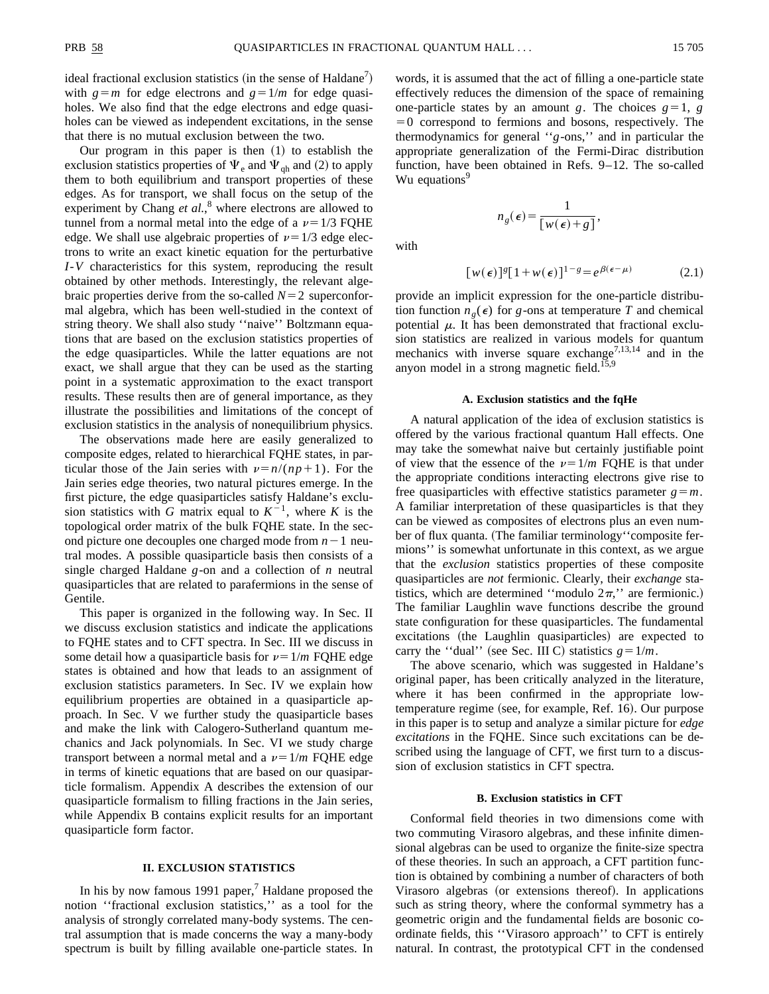ideal fractional exclusion statistics (in the sense of Haldane<sup>7</sup>) with  $g=m$  for edge electrons and  $g=1/m$  for edge quasiholes. We also find that the edge electrons and edge quasiholes can be viewed as independent excitations, in the sense that there is no mutual exclusion between the two.

Our program in this paper is then  $(1)$  to establish the exclusion statistics properties of  $\Psi_e$  and  $\Psi_{gh}$  and (2) to apply them to both equilibrium and transport properties of these edges. As for transport, we shall focus on the setup of the experiment by Chang et al.,<sup>8</sup> where electrons are allowed to tunnel from a normal metal into the edge of a  $\nu = 1/3$  FQHE edge. We shall use algebraic properties of  $\nu=1/3$  edge electrons to write an exact kinetic equation for the perturbative *I*-*V* characteristics for this system, reproducing the result obtained by other methods. Interestingly, the relevant algebraic properties derive from the so-called  $N=2$  superconformal algebra, which has been well-studied in the context of string theory. We shall also study ''naive'' Boltzmann equations that are based on the exclusion statistics properties of the edge quasiparticles. While the latter equations are not exact, we shall argue that they can be used as the starting point in a systematic approximation to the exact transport results. These results then are of general importance, as they illustrate the possibilities and limitations of the concept of exclusion statistics in the analysis of nonequilibrium physics.

The observations made here are easily generalized to composite edges, related to hierarchical FQHE states, in particular those of the Jain series with  $\nu = n/(np+1)$ . For the Jain series edge theories, two natural pictures emerge. In the first picture, the edge quasiparticles satisfy Haldane's exclusion statistics with *G* matrix equal to  $K^{-1}$ , where *K* is the topological order matrix of the bulk FQHE state. In the second picture one decouples one charged mode from  $n-1$  neutral modes. A possible quasiparticle basis then consists of a single charged Haldane *g*-on and a collection of *n* neutral quasiparticles that are related to parafermions in the sense of Gentile.

This paper is organized in the following way. In Sec. II we discuss exclusion statistics and indicate the applications to FQHE states and to CFT spectra. In Sec. III we discuss in some detail how a quasiparticle basis for  $\nu = 1/m$  FQHE edge states is obtained and how that leads to an assignment of exclusion statistics parameters. In Sec. IV we explain how equilibrium properties are obtained in a quasiparticle approach. In Sec. V we further study the quasiparticle bases and make the link with Calogero-Sutherland quantum mechanics and Jack polynomials. In Sec. VI we study charge transport between a normal metal and a  $\nu = 1/m$  FQHE edge in terms of kinetic equations that are based on our quasiparticle formalism. Appendix A describes the extension of our quasiparticle formalism to filling fractions in the Jain series, while Appendix B contains explicit results for an important quasiparticle form factor.

#### **II. EXCLUSION STATISTICS**

In his by now famous 1991 paper,<sup>7</sup> Haldane proposed the notion ''fractional exclusion statistics,'' as a tool for the analysis of strongly correlated many-body systems. The central assumption that is made concerns the way a many-body spectrum is built by filling available one-particle states. In words, it is assumed that the act of filling a one-particle state effectively reduces the dimension of the space of remaining one-particle states by an amount *g*. The choices  $g=1, g$  $=0$  correspond to fermions and bosons, respectively. The thermodynamics for general ''*g*-ons,'' and in particular the appropriate generalization of the Fermi-Dirac distribution function, have been obtained in Refs. 9–12. The so-called Wu equations<sup>9</sup>

 $n_g(\epsilon) = \frac{1}{[w(\epsilon)+g]},$ 

with

$$
[w(\epsilon)]^g [1 + w(\epsilon)]^{1-g} = e^{\beta(\epsilon - \mu)}
$$
 (2.1)

provide an implicit expression for the one-particle distribution function  $n_g(\epsilon)$  for *g*-ons at temperature *T* and chemical potential  $\mu$ . It has been demonstrated that fractional exclusion statistics are realized in various models for quantum mechanics with inverse square exchange<sup>7,13,14</sup> and in the anyon model in a strong magnetic field.<sup>15,9</sup>

#### **A. Exclusion statistics and the fqHe**

A natural application of the idea of exclusion statistics is offered by the various fractional quantum Hall effects. One may take the somewhat naive but certainly justifiable point of view that the essence of the  $\nu=1/m$  FQHE is that under the appropriate conditions interacting electrons give rise to free quasiparticles with effective statistics parameter  $g = m$ . A familiar interpretation of these quasiparticles is that they can be viewed as composites of electrons plus an even number of flux quanta. (The familiar terminology "composite fermions'' is somewhat unfortunate in this context, as we argue that the *exclusion* statistics properties of these composite quasiparticles are *not* fermionic. Clearly, their *exchange* statistics, which are determined "modulo  $2\pi$ ," are fermionic.) The familiar Laughlin wave functions describe the ground state configuration for these quasiparticles. The fundamental excitations (the Laughlin quasiparticles) are expected to carry the "dual" (see Sec. III C) statistics  $g=1/m$ .

The above scenario, which was suggested in Haldane's original paper, has been critically analyzed in the literature, where it has been confirmed in the appropriate lowtemperature regime (see, for example, Ref. 16). Our purpose in this paper is to setup and analyze a similar picture for *edge excitations* in the FQHE. Since such excitations can be described using the language of CFT, we first turn to a discussion of exclusion statistics in CFT spectra.

#### **B. Exclusion statistics in CFT**

Conformal field theories in two dimensions come with two commuting Virasoro algebras, and these infinite dimensional algebras can be used to organize the finite-size spectra of these theories. In such an approach, a CFT partition function is obtained by combining a number of characters of both Virasoro algebras (or extensions thereof). In applications such as string theory, where the conformal symmetry has a geometric origin and the fundamental fields are bosonic coordinate fields, this ''Virasoro approach'' to CFT is entirely natural. In contrast, the prototypical CFT in the condensed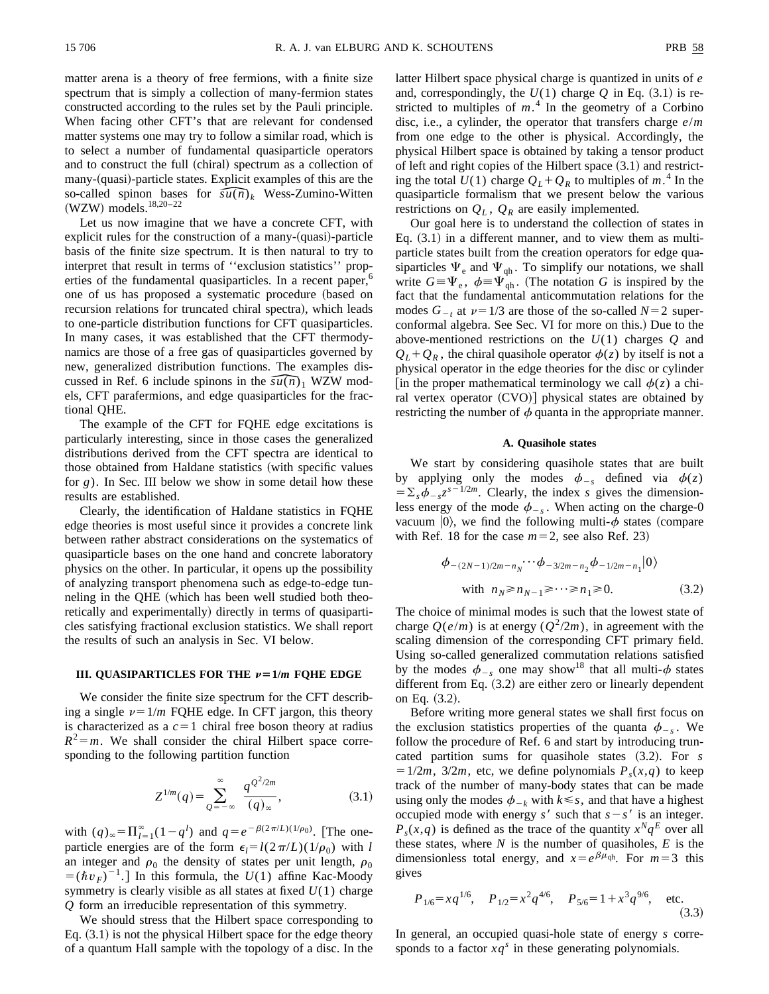matter arena is a theory of free fermions, with a finite size spectrum that is simply a collection of many-fermion states constructed according to the rules set by the Pauli principle. When facing other CFT's that are relevant for condensed matter systems one may try to follow a similar road, which is to select a number of fundamental quasiparticle operators and to construct the full (chiral) spectrum as a collection of many-(quasi)-particle states. Explicit examples of this are the so-called spinon bases for  $\widehat{su(n)}_k$  Wess-Zumino-Witten  $(WZW)$  models.<sup>18,20–22</sup>

Let us now imagine that we have a concrete CFT, with  $\alpha$  explicit rules for the construction of a many- $\alpha$  (quasi)-particle basis of the finite size spectrum. It is then natural to try to interpret that result in terms of ''exclusion statistics'' properties of the fundamental quasiparticles. In a recent paper,<sup>6</sup> one of us has proposed a systematic procedure (based on recursion relations for truncated chiral spectra), which leads to one-particle distribution functions for CFT quasiparticles. In many cases, it was established that the CFT thermodynamics are those of a free gas of quasiparticles governed by new, generalized distribution functions. The examples discussed in Ref. 6 include spinons in the  $\widehat{su(n)}_1$  WZW models, CFT parafermions, and edge quasiparticles for the fractional QHE.

The example of the CFT for FQHE edge excitations is particularly interesting, since in those cases the generalized distributions derived from the CFT spectra are identical to those obtained from Haldane statistics (with specific values for *g*). In Sec. III below we show in some detail how these results are established.

Clearly, the identification of Haldane statistics in FQHE edge theories is most useful since it provides a concrete link between rather abstract considerations on the systematics of quasiparticle bases on the one hand and concrete laboratory physics on the other. In particular, it opens up the possibility of analyzing transport phenomena such as edge-to-edge tunneling in the QHE (which has been well studied both theoretically and experimentally) directly in terms of quasiparticles satisfying fractional exclusion statistics. We shall report the results of such an analysis in Sec. VI below.

#### **III. QUASIPARTICLES FOR THE**  $\nu = 1/m$  **FQHE EDGE**

We consider the finite size spectrum for the CFT describing a single  $\nu=1/m$  FQHE edge. In CFT jargon, this theory is characterized as a  $c=1$  chiral free boson theory at radius  $R^2 = m$ . We shall consider the chiral Hilbert space corresponding to the following partition function

$$
Z^{1/m}(q) = \sum_{Q=-\infty}^{\infty} \frac{q^{Q^2/2m}}{(q)_{\infty}},
$$
 (3.1)

with  $(q)_{\infty} = \prod_{l=1}^{\infty} (1 - q^l)$  and  $q = e^{-\beta(2\pi/L)(1/\rho_0)}$ . [The oneparticle energies are of the form  $\epsilon_l = l(2\pi/L)(1/\rho_0)$  with *l* an integer and  $\rho_0$  the density of states per unit length,  $\rho_0$  $=(\hbar v_F)^{-1}$ . In this formula, the *U*(1) affine Kac-Moody symmetry is clearly visible as all states at fixed *U*(1) charge *Q* form an irreducible representation of this symmetry.

We should stress that the Hilbert space corresponding to Eq.  $(3.1)$  is not the physical Hilbert space for the edge theory of a quantum Hall sample with the topology of a disc. In the latter Hilbert space physical charge is quantized in units of *e* and, correspondingly, the  $U(1)$  charge  $Q$  in Eq.  $(3.1)$  is restricted to multiples of  $m<sup>4</sup>$ . In the geometry of a Corbino disc, i.e., a cylinder, the operator that transfers charge *e*/*m* from one edge to the other is physical. Accordingly, the physical Hilbert space is obtained by taking a tensor product of left and right copies of the Hilbert space  $(3.1)$  and restricting the total  $U(1)$  charge  $Q_L + Q_R$  to multiples of m.<sup>4</sup> In the quasiparticle formalism that we present below the various restrictions on  $Q_L$ ,  $Q_R$  are easily implemented.

Our goal here is to understand the collection of states in Eq.  $(3.1)$  in a different manner, and to view them as multiparticle states built from the creation operators for edge quasiparticles  $\Psi_e$  and  $\Psi_{qh}$ . To simplify our notations, we shall write  $G = \Psi_e$ ,  $\phi = \Psi_{gh}$ . (The notation *G* is inspired by the fact that the fundamental anticommutation relations for the modes  $G_{-t}$  at  $\nu=1/3$  are those of the so-called  $N=2$  superconformal algebra. See Sec. VI for more on this.) Due to the above-mentioned restrictions on the *U*(1) charges *Q* and  $Q_L + Q_R$ , the chiral quasihole operator  $\phi(z)$  by itself is not a physical operator in the edge theories for the disc or cylinder in the proper mathematical terminology we call  $\phi(z)$  a chiral vertex operator  $(CVO)$ ] physical states are obtained by restricting the number of  $\phi$  quanta in the appropriate manner.

#### **A. Quasihole states**

We start by considering quasihole states that are built by applying only the modes  $\phi_{-s}$  defined via  $\phi(z)$  $= \sum_{s} \phi_{-s} z^{s-1/2m}$ . Clearly, the index *s* gives the dimensionless energy of the mode  $\phi$ <sub>-s</sub>. When acting on the charge-0 vacuum  $|0\rangle$ , we find the following multi- $\phi$  states (compare with Ref. 18 for the case  $m=2$ , see also Ref. 23)

$$
\phi_{-(2N-1)/2m-n_N}\cdots\phi_{-3/2m-n_2}\phi_{-1/2m-n_1}|0\rangle
$$
  
with  $n_N \ge n_{N-1} \ge \cdots \ge n_1 \ge 0$ . (3.2)

The choice of minimal modes is such that the lowest state of charge  $Q(e/m)$  is at energy  $(Q^2/2m)$ , in agreement with the scaling dimension of the corresponding CFT primary field. Using so-called generalized commutation relations satisfied by the modes  $\phi_{-s}$  one may show<sup>18</sup> that all multi- $\phi$  states different from Eq.  $(3.2)$  are either zero or linearly dependent on Eq.  $(3.2)$ .

Before writing more general states we shall first focus on the exclusion statistics properties of the quanta  $\phi_{-s}$ . We follow the procedure of Ref. 6 and start by introducing truncated partition sums for quasihole states  $(3.2)$ . For *s*  $=1/2m$ ,  $3/2m$ , etc, we define polynomials  $P_s(x,q)$  to keep track of the number of many-body states that can be made using only the modes  $\phi_{-k}$  with  $k \leq s$ , and that have a highest occupied mode with energy  $s'$  such that  $s - s'$  is an integer.  $P_s(x,q)$  is defined as the trace of the quantity  $x^N q^E$  over all these states, where  $N$  is the number of quasiholes,  $E$  is the dimensionless total energy, and  $x=e^{\beta\mu_{\text{qh}}}$ . For  $m=3$  this gives

$$
P_{1/6} = xq^{1/6}
$$
,  $P_{1/2} = x^2q^{4/6}$ ,  $P_{5/6} = 1 + x^3q^{9/6}$ , etc. (3.3)

In general, an occupied quasi-hole state of energy *s* corresponds to a factor  $xq^s$  in these generating polynomials.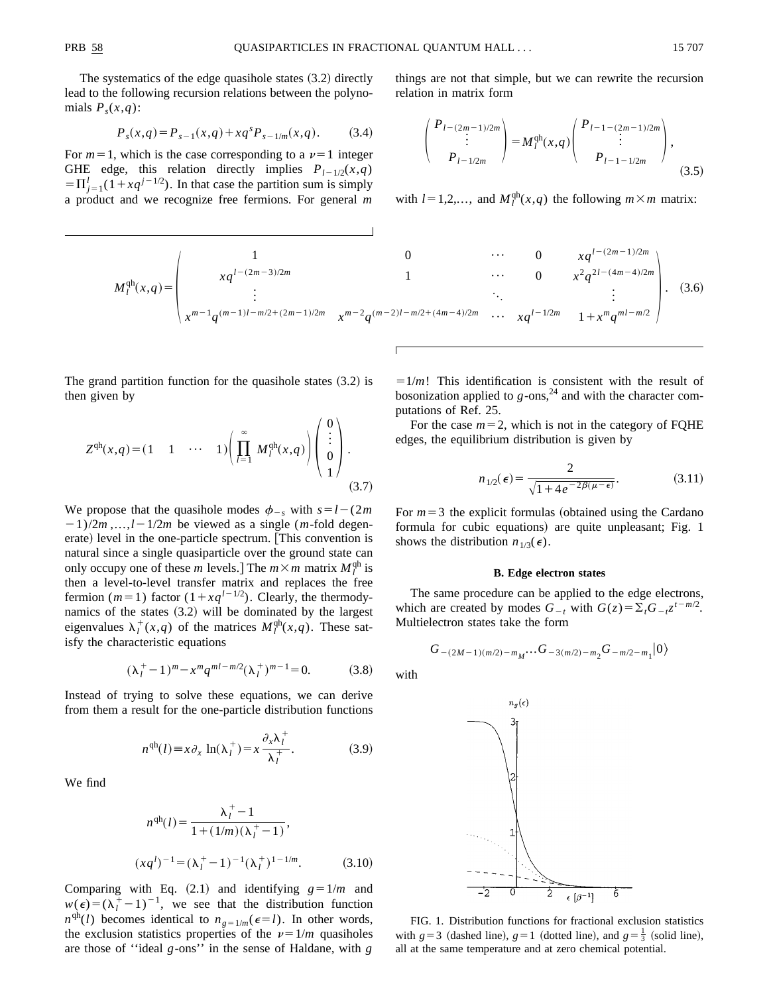$$
P_s(x,q) = P_{s-1}(x,q) + xq^s P_{s-1/m}(x,q). \tag{3.4}
$$

For  $m=1$ , which is the case corresponding to a  $\nu=1$  integer GHE edge, this relation directly implies  $P_{l-1/2}(x,q)$  $=\prod_{j=1}^{l}(1+xq^{j-1/2})$ . In that case the partition sum is simply a product and we recognize free fermions. For general *m*

$$
M_l^{\text{qh}}(x,q) = \begin{pmatrix} 1 & 0 & \cdots & 0 & xq^{l-(2m-1)/2m} \\ xq^{l-(2m-3)/2m} & 1 & \cdots & 0 & x^2q^{2l-(4m-4)/2m} \\ \vdots & \vdots & \ddots & \vdots \\ x^{m-1}q^{(m-1)l-m/2+(2m-1)/2m} & x^{m-2}q^{(m-2)l-m/2+(4m-4)/2m} & \cdots & xq^{l-1/2m} & 1+x^mq^{ml-m/2} \end{pmatrix}.
$$
 (3.6)

The grand partition function for the quasihole states  $(3.2)$  is then given by

$$
Z^{\text{qh}}(x,q) = (1 \quad 1 \quad \cdots \quad 1) \left( \prod_{l=1}^{\infty} M_l^{\text{qh}}(x,q) \right) \left( \begin{array}{c} 0 \\ \vdots \\ 0 \\ 1 \end{array} \right).
$$
\n(3.7)

We propose that the quasihole modes  $\phi_{-s}$  with  $s=l-(2m)$  $(2m)$ ,..., $l-1/2m$  be viewed as a single (*m*-fold degenerate) level in the one-particle spectrum. [This convention is natural since a single quasiparticle over the ground state can only occupy one of these *m* levels.] The  $m \times m$  matrix  $M_l^{qh}$  is then a level-to-level transfer matrix and replaces the free fermion ( $m=1$ ) factor ( $1+xq^{l-1/2}$ ). Clearly, the thermodynamics of the states  $(3.2)$  will be dominated by the largest eigenvalues  $\lambda_l^+(x,q)$  of the matrices  $M_l^{qh}(x,q)$ . These satisfy the characteristic equations

$$
(\lambda_l^+ - 1)^m - x^m q^{ml - m/2} (\lambda_l^+)^{m-1} = 0.
$$
 (3.8)

Instead of trying to solve these equations, we can derive from them a result for the one-particle distribution functions

$$
n^{\text{qh}}(l) \equiv x \partial_x \ln(\lambda_l^+) = x \frac{\partial_x \lambda_l^+}{\lambda_l^+}.
$$
 (3.9)

We find

$$
n^{qh}(l) = \frac{\lambda_l^+ - 1}{1 + (1/m)(\lambda_l^+ - 1)},
$$
  

$$
(xq^l)^{-1} = (\lambda_l^+ - 1)^{-1}(\lambda_l^+)^{1 - 1/m}.
$$
 (3.10)

Comparing with Eq.  $(2.1)$  and identifying  $g=1/m$  and  $w(\epsilon)=(\lambda_l^+-1)^{-1}$ , we see that the distribution function  $n^{qh}(l)$  becomes identical to  $n_{g=1/m}(\epsilon=l)$ . In other words, the exclusion statistics properties of the  $\nu=1/m$  quasiholes are those of ''ideal *g*-ons'' in the sense of Haldane, with *g*

$$
\begin{pmatrix}\nP_{l-(2m-1)/2m} \\
\vdots \\
P_{l-1/2m}\n\end{pmatrix} = M_l^{qh}(x,q) \begin{pmatrix}\nP_{l-1-(2m-1)/2m} \\
\vdots \\
P_{l-1-1/2m}\n\end{pmatrix},
$$
\n(3.5)

with  $l=1,2,...$ , and  $M_l^{qh}(x,q)$  the following  $m \times m$  matrix:

$$
=1/m!
$$
 This identification is consistent with the result of bosonization applied to *g*-ons,<sup>24</sup> and with the character computations of Ref. 25.

For the case  $m=2$ , which is not in the category of FQHE edges, the equilibrium distribution is given by

$$
n_{1/2}(\epsilon) = \frac{2}{\sqrt{1 + 4e^{-2\beta(\mu - \epsilon)}}}.
$$
\n(3.11)

For  $m=3$  the explicit formulas (obtained using the Cardano formula for cubic equations) are quite unpleasant; Fig. 1 shows the distribution  $n_{1/3}(\epsilon)$ .

#### **B. Edge electron states**

The same procedure can be applied to the edge electrons, which are created by modes  $G_{-t}$  with  $G(z) = \sum_{i} G_{-i} z^{t-m/2}$ . Multielectron states take the form

$$
G_{-(2M-1)(m/2)-m_M}\cdots G_{-3(m/2)-m_2}G_{-m/2-m_1}|0\rangle
$$

with



FIG. 1. Distribution functions for fractional exclusion statistics with  $g=3$  (dashed line),  $g=1$  (dotted line), and  $g=\frac{1}{3}$  (solid line), all at the same temperature and at zero chemical potential.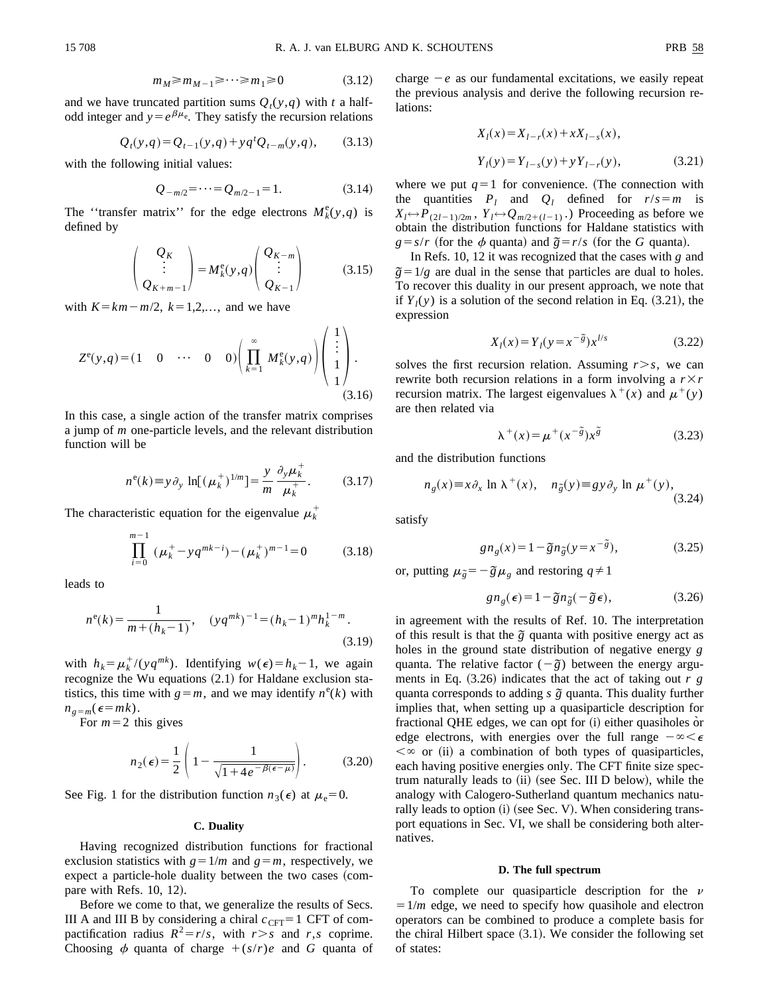$$
m_M \ge m_{M-1} \ge \cdots \ge m_1 \ge 0 \tag{3.12}
$$

and we have truncated partition sums  $Q_t(y,q)$  with *t* a halfodd integer and  $y=e^{\beta\mu_e}$ . They satisfy the recursion relations

$$
Q_t(y,q) = Q_{t-1}(y,q) + yq^t Q_{t-m}(y,q), \qquad (3.13)
$$

with the following initial values:

$$
Q_{-m/2} = \dots = Q_{m/2-1} = 1.
$$
 (3.14)

The "transfer matrix" for the edge electrons  $M_k^e(y,q)$  is defined by

$$
\begin{pmatrix} Q_K \\ \vdots \\ Q_{K+m-1} \end{pmatrix} = M_k^e(y,q) \begin{pmatrix} Q_{K-m} \\ \vdots \\ Q_{K-1} \end{pmatrix}
$$
 (3.15)

with  $K = km - m/2$ ,  $k = 1,2,...$ , and we have

$$
Z^{\mathbf{e}}(y,q) = (1 \quad 0 \quad \cdots \quad 0 \quad 0) \left( \prod_{k=1}^{\infty} M_k^{\mathbf{e}}(y,q) \right) \left( \begin{array}{c} 1 \\ \vdots \\ 1 \\ 1 \end{array} \right).
$$
\n(3.16)

In this case, a single action of the transfer matrix comprises a jump of *m* one-particle levels, and the relevant distribution function will be

$$
n^{e}(k) \equiv y \partial_{y} \ln[(\mu_{k}^{+})^{1/m}] = \frac{y}{m} \frac{\partial_{y} \mu_{k}^{+}}{\mu_{k}^{+}}.
$$
 (3.17)

The characteristic equation for the eigenvalue  $\mu_k^+$ 

$$
\prod_{i=0}^{m-1} (\mu_k^+ - yq^{mk-i}) - (\mu_k^+)^{m-1} = 0 \tag{3.18}
$$

leads to

$$
n^{e}(k) = \frac{1}{m + (h_{k} - 1)}, \quad (yq^{mk})^{-1} = (h_{k} - 1)^{m}h_{k}^{1 - m}.
$$
\n(3.19)

with  $h_k = \mu_k^+/(yq^{mk})$ . Identifying  $w(\epsilon) = h_k - 1$ , we again recognize the Wu equations  $(2.1)$  for Haldane exclusion statistics, this time with  $g = m$ , and we may identify  $n^{e}(k)$  with  $n_{g=m}(\epsilon=mk)$ .

For  $m=2$  this gives

$$
n_2(\epsilon) = \frac{1}{2} \left( 1 - \frac{1}{\sqrt{1 + 4e^{-\beta(\epsilon - \mu)}}} \right).
$$
 (3.20)

See Fig. 1 for the distribution function  $n_3(\epsilon)$  at  $\mu_e=0$ .

#### **C. Duality**

Having recognized distribution functions for fractional exclusion statistics with  $g=1/m$  and  $g=m$ , respectively, we expect a particle-hole duality between the two cases (compare with Refs.  $10$ ,  $12$ ).

Before we come to that, we generalize the results of Secs. III A and III B by considering a chiral  $c_{\text{CFT}}=1$  CFT of compactification radius  $R^2 = r/s$ , with  $r > s$  and *r*,*s* coprime. Choosing  $\phi$  quanta of charge  $+(s/r)e$  and *G* quanta of charge  $-e$  as our fundamental excitations, we easily repeat the previous analysis and derive the following recursion relations:

$$
X_{l}(x) = X_{l-r}(x) + xX_{l-s}(x),
$$
  
\n
$$
Y_{l}(y) = Y_{l-s}(y) + yY_{l-r}(y),
$$
\n(3.21)

where we put  $q=1$  for convenience. (The connection with the quantities  $P_l$  and  $Q_l$  defined for  $r/s = m$  is  $X_l \leftrightarrow P_{(2l-1)/2m}$ ,  $Y_l \leftrightarrow Q_{m/2+(l-1)}$ .) Proceeding as before we obtain the distribution functions for Haldane statistics with  $g = s/r$  (for the  $\phi$  quanta) and  $\tilde{g} = r/s$  (for the *G* quanta).

In Refs. 10, 12 it was recognized that the cases with *g* and  $\tilde{g}=1/g$  are dual in the sense that particles are dual to holes. To recover this duality in our present approach, we note that if  $Y_l(y)$  is a solution of the second relation in Eq.  $(3.21)$ , the expression

$$
X_{l}(x) = Y_{l}(y = x^{-\tilde{g}})x^{l/s}
$$
 (3.22)

solves the first recursion relation. Assuming  $r > s$ , we can rewrite both recursion relations in a form involving a  $r \times r$ recursion matrix. The largest eigenvalues  $\lambda^+(x)$  and  $\mu^+(y)$ are then related via

$$
\lambda^{+}(x) = \mu^{+}(x^{-\tilde{s}})x^{\tilde{s}}
$$
\n(3.23)

and the distribution functions

$$
n_g(x) \equiv x \partial_x \ln \lambda^+(x), \quad n_{\tilde{g}}(y) \equiv gy \partial_y \ln \mu^+(y), \tag{3.24}
$$

satisfy

$$
gn_g(x) = 1 - \tilde{g}n_{\tilde{g}}(y = x^{-\tilde{g}}),
$$
\n(3.25)

or, putting  $\mu_{\tilde{g}} = -\tilde{g} \mu_{g}$  and restoring  $q \neq 1$ 

$$
gn_g(\epsilon) = 1 - \tilde{g}n_{\tilde{g}}(-\tilde{g}\epsilon), \qquad (3.26)
$$

in agreement with the results of Ref. 10. The interpretation of this result is that the  $\tilde{g}$  quanta with positive energy act as holes in the ground state distribution of negative energy *g* quanta. The relative factor  $(-\tilde{g})$  between the energy arguments in Eq.  $(3.26)$  indicates that the act of taking out *r g* quanta corresponds to adding  $s \tilde{g}$  quanta. This duality further implies that, when setting up a quasiparticle description for fractional QHE edges, we can opt for  $(i)$  either quasiholes or edge electrons, with energies over the full range  $-\infty < \epsilon$  $\langle \infty \rangle$  or (ii) a combination of both types of quasiparticles, each having positive energies only. The CFT finite size spectrum naturally leads to  $(ii)$  (see Sec. III D below), while the analogy with Calogero-Sutherland quantum mechanics naturally leads to option (i) (see Sec. V). When considering transport equations in Sec. VI, we shall be considering both alternatives.

#### **D. The full spectrum**

To complete our quasiparticle description for the  $\nu$  $=1/m$  edge, we need to specify how quasihole and electron operators can be combined to produce a complete basis for the chiral Hilbert space  $(3.1)$ . We consider the following set of states: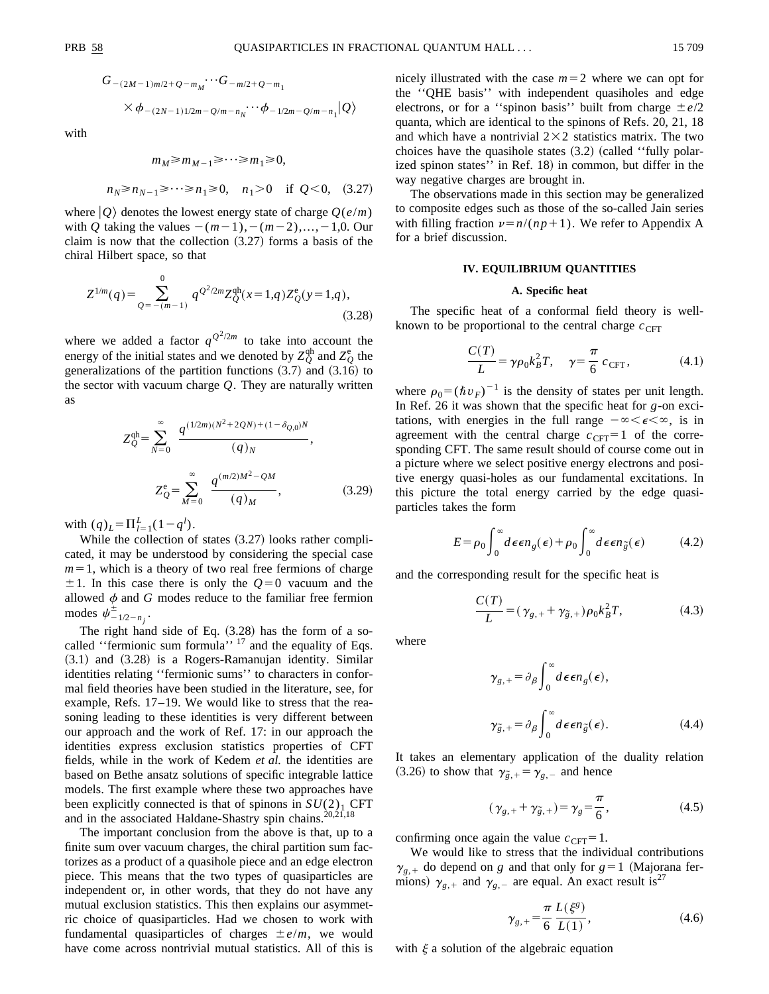$$
G_{-(2M-1)m/2+Q-m_{M}} \cdots G_{-m/2+Q-m_{1}}
$$
  
 
$$
\times \phi_{-(2N-1)1/2m-Q/m-n_{N}} \cdots \phi_{-1/2m-Q/m-n_{1}} |Q\rangle
$$

with

$$
m_M \ge m_{M-1} \ge \cdots \ge m_1 \ge 0,
$$
  

$$
n_N \ge n_{N-1} \ge \cdots \ge n_1 \ge 0, \quad n_1 > 0 \quad \text{if } Q < 0, \quad (3.27)
$$

where  $|Q\rangle$  denotes the lowest energy state of charge  $Q(e/m)$ with *Q* taking the values  $-(m-1), -(m-2),..., -1,0.$  Our claim is now that the collection  $(3.27)$  forms a basis of the chiral Hilbert space, so that

$$
Z^{1/m}(q) = \sum_{Q=-\left(m-1\right)}^{0} q^{\mathcal{Q}^2/2m} Z^{\text{qh}}_Q(x=1,q) Z^{\text{e}}_Q(y=1,q),\tag{3.28}
$$

where we added a factor  $q^{Q^2/2m}$  to take into account the energy of the initial states and we denoted by  $Z_Q^{\text{qh}}$  and  $Z_Q^{\text{e}}$  the generalizations of the partition functions  $(3.7)$  and  $(3.16)$  to the sector with vacuum charge *Q*. They are naturally written as

$$
Z_Q^{\text{qh}} = \sum_{N=0}^{\infty} \frac{q^{(1/2m)(N^2 + 2QN) + (1 - \delta_{Q,0})N}}{(q)_N},
$$
  

$$
Z_Q^{\text{e}} = \sum_{M=0}^{\infty} \frac{q^{(m/2)M^2 - QM}}{(q)_M},
$$
 (3.29)

with  $(q)_L = \prod_{l=1}^L (1 - q^l)$ .

While the collection of states  $(3.27)$  looks rather complicated, it may be understood by considering the special case  $m=1$ , which is a theory of two real free fermions of charge  $\pm$ 1. In this case there is only the *Q*=0 vacuum and the allowed  $\phi$  and *G* modes reduce to the familiar free fermion modes  $\psi^{\pm}_{-1/2-n_j}$ .

The right hand side of Eq.  $(3.28)$  has the form of a socalled "fermionic sum formula"  $^{17}$  and the equality of Eqs.  $(3.1)$  and  $(3.28)$  is a Rogers-Ramanujan identity. Similar identities relating ''fermionic sums'' to characters in conformal field theories have been studied in the literature, see, for example, Refs. 17–19. We would like to stress that the reasoning leading to these identities is very different between our approach and the work of Ref. 17: in our approach the identities express exclusion statistics properties of CFT fields, while in the work of Kedem *et al.* the identities are based on Bethe ansatz solutions of specific integrable lattice models. The first example where these two approaches have been explicitly connected is that of spinons in  $SU(2)_1$  CFT and in the associated Haldane-Shastry spin chains.<sup>20,21,18</sup>

The important conclusion from the above is that, up to a finite sum over vacuum charges, the chiral partition sum factorizes as a product of a quasihole piece and an edge electron piece. This means that the two types of quasiparticles are independent or, in other words, that they do not have any mutual exclusion statistics. This then explains our asymmetric choice of quasiparticles. Had we chosen to work with fundamental quasiparticles of charges  $\pm e/m$ , we would have come across nontrivial mutual statistics. All of this is nicely illustrated with the case  $m=2$  where we can opt for the ''QHE basis'' with independent quasiholes and edge electrons, or for a "spinon basis" built from charge  $\pm e/2$ quanta, which are identical to the spinons of Refs. 20, 21, 18 and which have a nontrivial  $2\times2$  statistics matrix. The two choices have the quasihole states  $(3.2)$  (called "fully polarized spinon states" in Ref. 18) in common, but differ in the way negative charges are brought in.

The observations made in this section may be generalized to composite edges such as those of the so-called Jain series with filling fraction  $\nu = n/(np+1)$ . We refer to Appendix A for a brief discussion.

#### **IV. EQUILIBRIUM QUANTITIES**

#### **A. Specific heat**

The specific heat of a conformal field theory is wellknown to be proportional to the central charge  $c_{\text{CFT}}$ 

$$
\frac{C(T)}{L} = \gamma \rho_0 k_B^2 T, \quad \gamma = \frac{\pi}{6} c_{\text{CFT}}, \quad (4.1)
$$

where  $\rho_0 = (\hbar v_F)^{-1}$  is the density of states per unit length. In Ref. 26 it was shown that the specific heat for *g*-on excitations, with energies in the full range  $-\infty < \epsilon < \infty$ , is in agreement with the central charge  $c_{\text{CFT}}=1$  of the corresponding CFT. The same result should of course come out in a picture where we select positive energy electrons and positive energy quasi-holes as our fundamental excitations. In this picture the total energy carried by the edge quasiparticles takes the form

$$
E = \rho_0 \int_0^\infty d\epsilon \epsilon n_g(\epsilon) + \rho_0 \int_0^\infty d\epsilon \epsilon n_{\tilde{g}}(\epsilon) \tag{4.2}
$$

and the corresponding result for the specific heat is

$$
\frac{C(T)}{L} = (\gamma_{g,+} + \gamma_{\tilde{g},+}) \rho_0 k_B^2 T,
$$
 (4.3)

where

$$
\gamma_{g,+} = \partial_{\beta} \int_0^{\infty} d\epsilon \epsilon n_g(\epsilon),
$$
  

$$
\gamma_{\tilde{g},+} = \partial_{\beta} \int_0^{\infty} d\epsilon \epsilon n_{\tilde{g}}(\epsilon).
$$
 (4.4)

It takes an elementary application of the duality relation  $(3.26)$  to show that  $\gamma_{\tilde{g},+} = \gamma_{g,-}$  and hence

$$
(\gamma_{g,+} + \gamma_{\tilde{g},+}) = \gamma_g = \frac{\pi}{6},
$$
\n(4.5)

confirming once again the value  $c_{\text{CFT}}=1$ .

We would like to stress that the individual contributions  $\gamma_{g,+}$  do depend on *g* and that only for  $g=1$  (Majorana fermions)  $\gamma_{g,+}$  and  $\gamma_{g,-}$  are equal. An exact result is<sup>27</sup>

$$
\gamma_{g,+} = \frac{\pi}{6} \frac{L(\xi^g)}{L(1)},
$$
\n(4.6)

with  $\xi$  a solution of the algebraic equation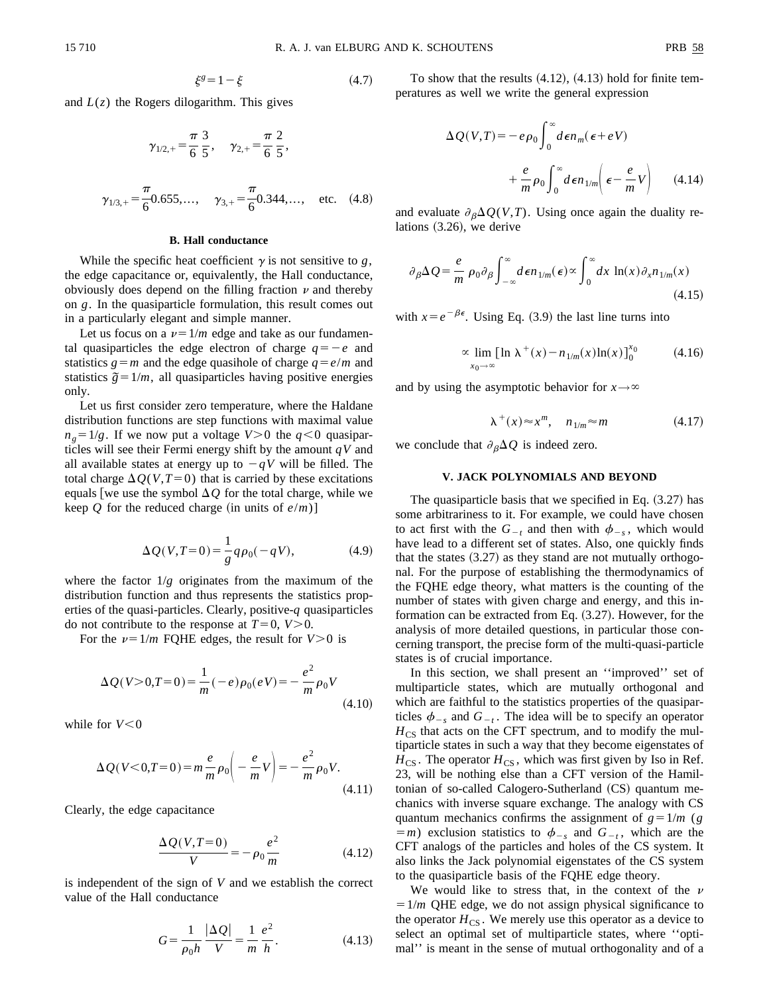$$
\xi^g = 1 - \xi \tag{4.7}
$$

and  $L(z)$  the Rogers dilogarithm. This gives

$$
\gamma_{1/2,+} = \frac{\pi}{6} \frac{3}{5}, \quad \gamma_{2,+} = \frac{\pi}{6} \frac{2}{5},
$$
  

$$
\gamma_{1/3,+} = \frac{\pi}{6} 0.655, ..., \quad \gamma_{3,+} = \frac{\pi}{6} 0.344, ..., \quad \text{etc.} \quad (4.8)
$$

#### **B. Hall conductance**

While the specific heat coefficient  $\gamma$  is not sensitive to *g*, the edge capacitance or, equivalently, the Hall conductance, obviously does depend on the filling fraction  $\nu$  and thereby on *g*. In the quasiparticle formulation, this result comes out in a particularly elegant and simple manner.

Let us focus on a  $\nu = 1/m$  edge and take as our fundamental quasiparticles the edge electron of charge  $q=-e$  and statistics  $g = m$  and the edge quasihole of charge  $q = e/m$  and statistics  $\tilde{g} = 1/m$ , all quasiparticles having positive energies only.

Let us first consider zero temperature, where the Haldane distribution functions are step functions with maximal value  $n_g = 1/g$ . If we now put a voltage *V*>0 the *q*<0 quasiparticles will see their Fermi energy shift by the amount *qV* and all available states at energy up to  $-qV$  will be filled. The total charge  $\Delta Q(V, T=0)$  that is carried by these excitations equals we use the symbol  $\Delta Q$  for the total charge, while we keep Q for the reduced charge (in units of  $e/m$ )]

$$
\Delta Q(V, T=0) = \frac{1}{g} q \rho_0(-qV), \tag{4.9}
$$

where the factor  $1/g$  originates from the maximum of the distribution function and thus represents the statistics properties of the quasi-particles. Clearly, positive-*q* quasiparticles do not contribute to the response at  $T=0$ ,  $V>0$ .

For the  $\nu=1/m$  FQHE edges, the result for  $V>0$  is

$$
\Delta Q(V>0, T=0) = \frac{1}{m}(-e)\rho_0(eV) = -\frac{e^2}{m}\rho_0 V
$$
\n(4.10)

while for  $V < 0$ 

$$
\Delta Q(V<0,T=0) = m \frac{e}{m} \rho_0 \left( -\frac{e}{m} V \right) = -\frac{e^2}{m} \rho_0 V.
$$
\n(4.11)

Clearly, the edge capacitance

$$
\frac{\Delta Q(V,T=0)}{V} = -\rho_0 \frac{e^2}{m} \tag{4.12}
$$

is independent of the sign of *V* and we establish the correct value of the Hall conductance

$$
G = \frac{1}{\rho_0 h} \frac{|\Delta Q|}{V} = \frac{1}{m} \frac{e^2}{h}.
$$
 (4.13)

To show that the results  $(4.12)$ ,  $(4.13)$  hold for finite temperatures as well we write the general expression

$$
\Delta Q(V,T) = -e\rho_0 \int_0^\infty d\epsilon n_m(\epsilon + eV)
$$

$$
+ \frac{e}{m}\rho_0 \int_0^\infty d\epsilon n_{1/m} \left(\epsilon - \frac{e}{m}V\right) \qquad (4.14)
$$

and evaluate  $\partial_{\beta} \Delta Q(V,T)$ . Using once again the duality relations  $(3.26)$ , we derive

$$
\partial_{\beta} \Delta Q = \frac{e}{m} \rho_0 \partial_{\beta} \int_{-\infty}^{\infty} d\epsilon n_{1/m}(\epsilon) \propto \int_{0}^{\infty} dx \ln(x) \partial_{x} n_{1/m}(x)
$$
\n(4.15)

with  $x=e^{-\beta \epsilon}$ . Using Eq. (3.9) the last line turns into

$$
\propto \lim_{x_0 \to \infty} [\ln \lambda^+(x) - n_{1/m}(x) \ln(x)]_0^{x_0}
$$
 (4.16)

and by using the asymptotic behavior for  $x \rightarrow \infty$ 

$$
\lambda^+(x) \approx x^m, \quad n_{1/m} \approx m \tag{4.17}
$$

we conclude that  $\partial_{\beta} \Delta Q$  is indeed zero.

#### **V. JACK POLYNOMIALS AND BEYOND**

The quasiparticle basis that we specified in Eq.  $(3.27)$  has some arbitrariness to it. For example, we could have chosen to act first with the  $G_{-t}$  and then with  $\phi_{-s}$ , which would have lead to a different set of states. Also, one quickly finds that the states  $(3.27)$  as they stand are not mutually orthogonal. For the purpose of establishing the thermodynamics of the FQHE edge theory, what matters is the counting of the number of states with given charge and energy, and this information can be extracted from Eq.  $(3.27)$ . However, for the analysis of more detailed questions, in particular those concerning transport, the precise form of the multi-quasi-particle states is of crucial importance.

In this section, we shall present an ''improved'' set of multiparticle states, which are mutually orthogonal and which are faithful to the statistics properties of the quasiparticles  $\phi_{-s}$  and  $G_{-t}$ . The idea will be to specify an operator  $H_{\text{CS}}$  that acts on the CFT spectrum, and to modify the multiparticle states in such a way that they become eigenstates of  $H_{\text{CS}}$ . The operator  $H_{\text{CS}}$ , which was first given by Iso in Ref. 23, will be nothing else than a CFT version of the Hamiltonian of so-called Calogero-Sutherland  $(CS)$  quantum mechanics with inverse square exchange. The analogy with CS quantum mechanics confirms the assignment of  $g=1/m$  (*g*  $=$ *m*) exclusion statistics to  $\phi$ <sub>-s</sub> and  $G$ <sub>-t</sub>, which are the CFT analogs of the particles and holes of the CS system. It also links the Jack polynomial eigenstates of the CS system to the quasiparticle basis of the FQHE edge theory.

We would like to stress that, in the context of the  $\nu$  $=1/m$  QHE edge, we do not assign physical significance to the operator  $H_{CS}$ . We merely use this operator as a device to select an optimal set of multiparticle states, where ''optimal'' is meant in the sense of mutual orthogonality and of a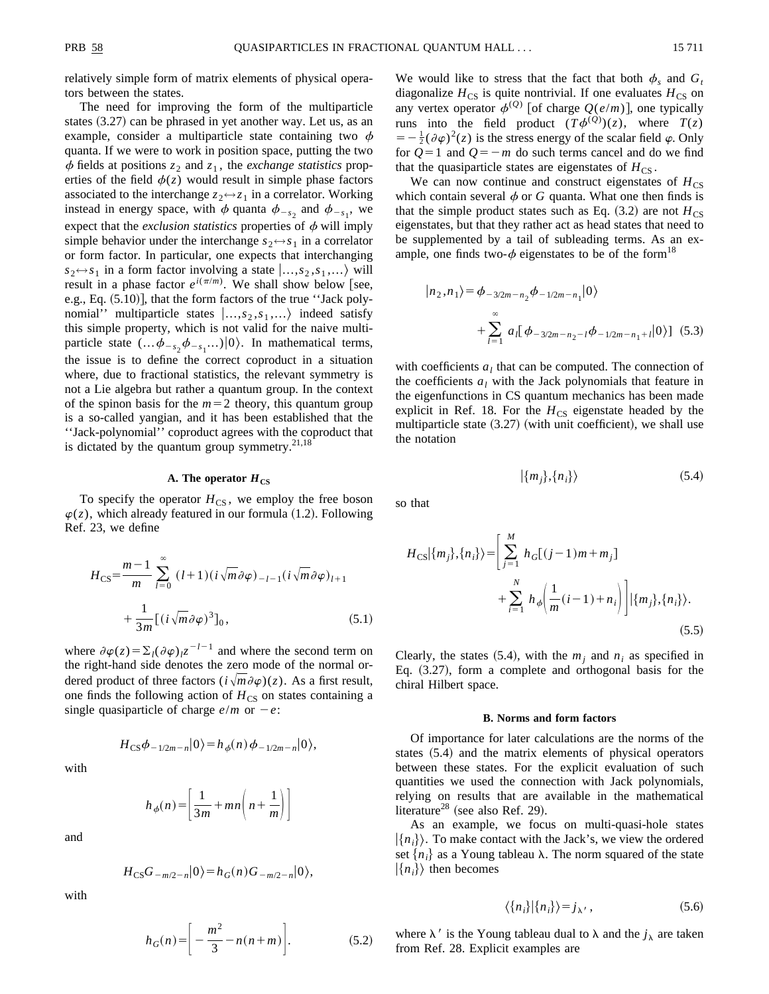relatively simple form of matrix elements of physical operators between the states.

The need for improving the form of the multiparticle states  $(3.27)$  can be phrased in yet another way. Let us, as an example, consider a multiparticle state containing two  $\phi$ quanta. If we were to work in position space, putting the two  $\phi$  fields at positions  $z_2$  and  $z_1$ , the *exchange statistics* properties of the field  $\phi(z)$  would result in simple phase factors associated to the interchange  $z_2 \leftrightarrow z_1$  in a correlator. Working instead in energy space, with  $\phi$  quanta  $\phi_{-s_2}$  and  $\phi_{-s_1}$ , we expect that the *exclusion statistics* properties of  $\phi$  will imply simple behavior under the interchange  $s_2 \leftrightarrow s_1$  in a correlator or form factor. In particular, one expects that interchanging  $s_2 \leftrightarrow s_1$  in a form factor involving a state  $\vert \dots, s_2, s_1, \dots \rangle$  will result in a phase factor  $e^{i(\pi/m)}$ . We shall show below [see, e.g., Eq.  $(5.10)$ ], that the form factors of the true "Jack polynomial'' multiparticle states  $\vert ... , s_2, s_1, ... \rangle$  indeed satisfy this simple property, which is not valid for the naive multiparticle state  $\left(\ldots \phi_{-s_2} \phi_{-s_1} \ldots\right) |0\rangle$ . In mathematical terms, the issue is to define the correct coproduct in a situation where, due to fractional statistics, the relevant symmetry is not a Lie algebra but rather a quantum group. In the context of the spinon basis for the  $m=2$  theory, this quantum group is a so-called yangian, and it has been established that the ''Jack-polynomial'' coproduct agrees with the coproduct that is dictated by the quantum group symmetry. $21,18$ 

### **A.** The operator  $H_{CS}$

To specify the operator  $H_{CS}$ , we employ the free boson  $\varphi(z)$ , which already featured in our formula (1.2). Following Ref. 23, we define

$$
H_{\text{CS}} = \frac{m-1}{m} \sum_{l=0}^{\infty} (l+1)(i\sqrt{m}\partial\varphi)_{-l-1} (i\sqrt{m}\partial\varphi)_{l+1}
$$

$$
+ \frac{1}{3m} [(i\sqrt{m}\partial\varphi)^3]_0, \qquad (5.1)
$$

where  $\partial \varphi(z) = \sum_l (\partial \varphi)_{l} z^{-l-1}$  and where the second term on the right-hand side denotes the zero mode of the normal ordered product of three factors  $(i\sqrt{m}\partial\varphi)(z)$ . As a first result, one finds the following action of  $H_{\text{CS}}$  on states containing a single quasiparticle of charge  $e/m$  or  $-e$ :

$$
H_{\rm CS}\phi_{-1/2m-n}|0\rangle = h_{\phi}(n)\phi_{-1/2m-n}|0\rangle,
$$

with

 $h_{\phi}(n) = \left| \frac{1}{3m} + mn\left(n + \frac{1}{m}\right) \right|$ 

and

$$
H_{\text{CS}}G_{-m/2-n}|0\rangle = h_G(n)G_{-m/2-n}|0\rangle,
$$

with

$$
h_G(n) = \left[ -\frac{m^2}{3} - n(n+m) \right].
$$
 (5.2)

We would like to stress that the fact that both  $\phi_s$  and  $G_t$ diagonalize  $H_{CS}$  is quite nontrivial. If one evaluates  $H_{CS}$  on any vertex operator  $\phi^{(Q)}$  [of charge  $Q(e/m)$ ], one typically runs into the field product  $(T\phi^{(Q)})(z)$ , where  $T(z)$  $= -\frac{1}{2} (\partial \varphi)^2(z)$  is the stress energy of the scalar field  $\varphi$ . Only for  $Q=1$  and  $Q=-m$  do such terms cancel and do we find that the quasiparticle states are eigenstates of  $H_{CS}$ .

We can now continue and construct eigenstates of  $H_{CS}$ which contain several  $\phi$  or *G* quanta. What one then finds is that the simple product states such as Eq.  $(3.2)$  are not  $H_{CS}$ eigenstates, but that they rather act as head states that need to be supplemented by a tail of subleading terms. As an example, one finds two- $\phi$  eigenstates to be of the form<sup>18</sup>

$$
|n_2, n_1\rangle = \phi_{-3/2m-n_2}\phi_{-1/2m-n_1}|0\rangle
$$
  
+ 
$$
\sum_{l=1}^{\infty} a_l [\phi_{-3/2m-n_2-l}\phi_{-1/2m-n_1+l}|0\rangle] (5.3)
$$

with coefficients  $a_l$  that can be computed. The connection of the coefficients  $a_l$  with the Jack polynomials that feature in the eigenfunctions in CS quantum mechanics has been made explicit in Ref. 18. For the  $H_{CS}$  eigenstate headed by the multiparticle state  $(3.27)$  (with unit coefficient), we shall use the notation

$$
|\{m_j\}, \{n_i\}\rangle \tag{5.4}
$$

so that

$$
H_{\text{CS}}|\{m_j\},\{n_i\}\rangle = \left[\sum_{j=1}^{M} h_G[(j-1)m + m_j] + \sum_{i=1}^{N} h_{\phi}\left(\frac{1}{m}(i-1) + n_i\right)\right]|\{m_j\},\{n_i\}\rangle.
$$
\n(5.5)

Clearly, the states  $(5.4)$ , with the  $m_i$  and  $n_i$  as specified in Eq.  $(3.27)$ , form a complete and orthogonal basis for the chiral Hilbert space.

#### **B. Norms and form factors**

Of importance for later calculations are the norms of the states  $(5.4)$  and the matrix elements of physical operators between these states. For the explicit evaluation of such quantities we used the connection with Jack polynomials, relying on results that are available in the mathematical literature<sup>28</sup> (see also Ref. 29).

As an example, we focus on multi-quasi-hole states  $|\{n_i\}\rangle$ . To make contact with the Jack's, we view the ordered set  $\{n_i\}$  as a Young tableau  $\lambda$ . The norm squared of the state  $|\{n_i\}\rangle$  then becomes

$$
\langle \{n_i\}|\{n_i\}\rangle = j_{\lambda'},\tag{5.6}
$$

where  $\lambda'$  is the Young tableau dual to  $\lambda$  and the  $j_{\lambda}$  are taken from Ref. 28. Explicit examples are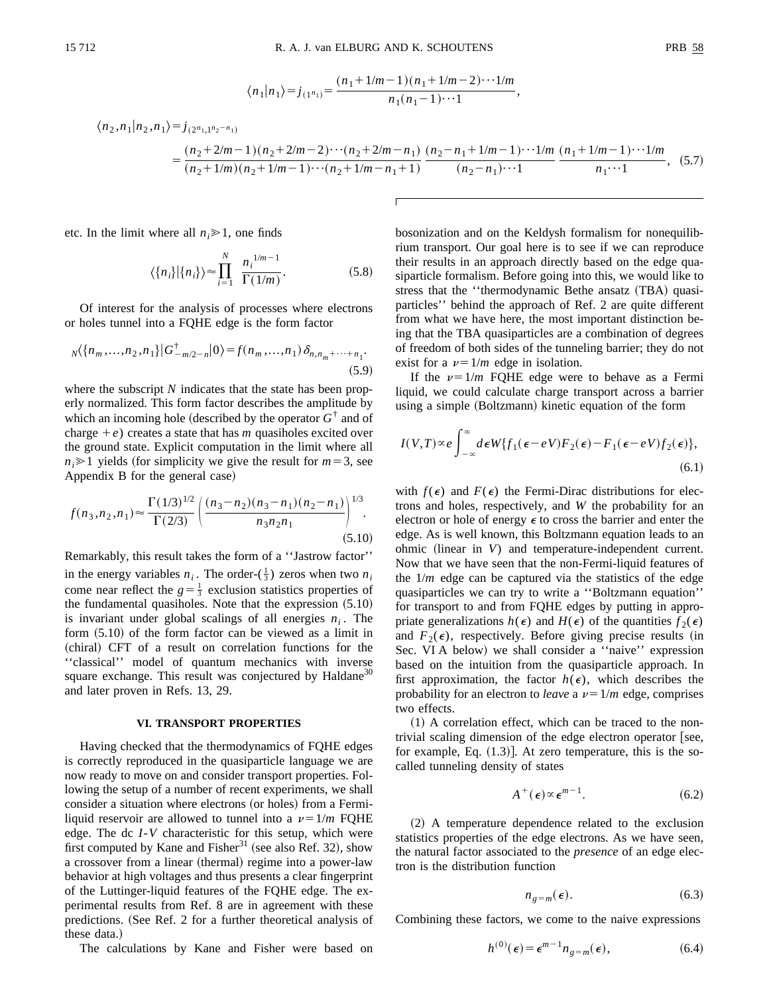$$
\langle n_1 | n_1 \rangle = j_{(1^n)} = \frac{(n_1 + 1/m - 1)(n_1 + 1/m - 2) \cdots 1/m}{n_1(n_1 - 1) \cdots 1},
$$

$$
\langle n_2, n_1 | n_2, n_1 \rangle = j_{(2^{n_1}, 1^{n_2 - n_1})}
$$
  
= 
$$
\frac{(n_2 + 2/m - 1)(n_2 + 2/m - 2) \cdots (n_2 + 2/m - n_1)}{(n_2 + 1/m)(n_2 + 1/m - 1) \cdots (n_2 + 1/m - n_1 + 1)} \frac{(n_2 - n_1 + 1/m - 1) \cdots 1/m}{(n_2 - n_1) \cdots 1} \frac{(n_1 + 1/m - 1) \cdots 1/m}{n_1 \cdots 1},
$$
 (5.7)

etc. In the limit where all  $n_i \ge 1$ , one finds

$$
\langle \{n_i\} | \{n_i\} \rangle \approx \prod_{i=1}^{N} \frac{n_i^{1/m-1}}{\Gamma(1/m)}.
$$
 (5.8)

Of interest for the analysis of processes where electrons or holes tunnel into a FQHE edge is the form factor

$$
_{N}\langle \{n_{m},...,n_{2},n_{1}\}\big|G_{-m/2-n}^{\dagger}|0\rangle=f(n_{m},...,n_{1})\delta_{n,n_{m}+...+n_{1}}.
$$
\n(5.9)

where the subscript *N* indicates that the state has been properly normalized. This form factor describes the amplitude by which an incoming hole (described by the operator  $G^{\dagger}$  and of charge  $+e$ ) creates a state that has *m* quasiholes excited over the ground state. Explicit computation in the limit where all  $n_i \geq 1$  yields (for simplicity we give the result for  $m=3$ , see Appendix B for the general case)

$$
f(n_3, n_2, n_1) \approx \frac{\Gamma(1/3)^{1/2}}{\Gamma(2/3)} \left( \frac{(n_3 - n_2)(n_3 - n_1)(n_2 - n_1)}{n_3 n_2 n_1} \right)^{1/3}.
$$
\n(5.10)

Remarkably, this result takes the form of a ''Jastrow factor'' in the energy variables  $n_i$ . The order- $(\frac{1}{3})$  zeros when two  $n_i$ come near reflect the  $g = \frac{1}{3}$  exclusion statistics properties of the fundamental quasiholes. Note that the expression  $(5.10)$ is invariant under global scalings of all energies  $n_i$ . The form  $(5.10)$  of the form factor can be viewed as a limit in (chiral) CFT of a result on correlation functions for the ''classical'' model of quantum mechanics with inverse square exchange. This result was conjectured by Haldane<sup>30</sup> and later proven in Refs. 13, 29.

#### **VI. TRANSPORT PROPERTIES**

Having checked that the thermodynamics of FQHE edges is correctly reproduced in the quasiparticle language we are now ready to move on and consider transport properties. Following the setup of a number of recent experiments, we shall consider a situation where electrons (or holes) from a Fermiliquid reservoir are allowed to tunnel into a  $\nu = 1/m$  FQHE edge. The dc *I*-*V* characteristic for this setup, which were first computed by Kane and Fisher<sup>31</sup> (see also Ref. 32), show a crossover from a linear (thermal) regime into a power-law behavior at high voltages and thus presents a clear fingerprint of the Luttinger-liquid features of the FQHE edge. The experimental results from Ref. 8 are in agreement with these predictions. (See Ref. 2 for a further theoretical analysis of these data.)

The calculations by Kane and Fisher were based on

bosonization and on the Keldysh formalism for nonequilibrium transport. Our goal here is to see if we can reproduce their results in an approach directly based on the edge quasiparticle formalism. Before going into this, we would like to stress that the "thermodynamic Bethe ansatz (TBA) quasiparticles'' behind the approach of Ref. 2 are quite different from what we have here, the most important distinction being that the TBA quasiparticles are a combination of degrees of freedom of both sides of the tunneling barrier; they do not exist for a  $\nu = 1/m$  edge in isolation.

If the  $\nu=1/m$  FQHE edge were to behave as a Fermi liquid, we could calculate charge transport across a barrier using a simple (Boltzmann) kinetic equation of the form

$$
I(V,T) \propto e \int_{-\infty}^{\infty} d\epsilon W \{ f_1(\epsilon - eV) F_2(\epsilon) - F_1(\epsilon - eV) f_2(\epsilon) \},
$$
\n(6.1)

with  $f(\epsilon)$  and  $F(\epsilon)$  the Fermi-Dirac distributions for electrons and holes, respectively, and *W* the probability for an electron or hole of energy  $\epsilon$  to cross the barrier and enter the edge. As is well known, this Boltzmann equation leads to an ohmic (linear in *V*) and temperature-independent current. Now that we have seen that the non-Fermi-liquid features of the 1/*m* edge can be captured via the statistics of the edge quasiparticles we can try to write a ''Boltzmann equation'' for transport to and from FQHE edges by putting in appropriate generalizations  $h(\epsilon)$  and  $H(\epsilon)$  of the quantities  $f_2(\epsilon)$ and  $F_2(\epsilon)$ , respectively. Before giving precise results (in Sec. VI A below) we shall consider a "naive" expression based on the intuition from the quasiparticle approach. In first approximation, the factor  $h(\epsilon)$ , which describes the probability for an electron to *leave* a  $\nu = 1/m$  edge, comprises two effects.

 $(1)$  A correlation effect, which can be traced to the nontrivial scaling dimension of the edge electron operator [see, for example, Eq.  $(1.3)$ ]. At zero temperature, this is the socalled tunneling density of states

$$
A^+(\epsilon) \propto \epsilon^{m-1}.\tag{6.2}
$$

 $(2)$  A temperature dependence related to the exclusion statistics properties of the edge electrons. As we have seen, the natural factor associated to the *presence* of an edge electron is the distribution function

$$
n_{g=m}(\epsilon). \tag{6.3}
$$

Combining these factors, we come to the naive expressions

$$
h^{(0)}(\epsilon) = \epsilon^{m-1} n_{g=m}(\epsilon), \qquad (6.4)
$$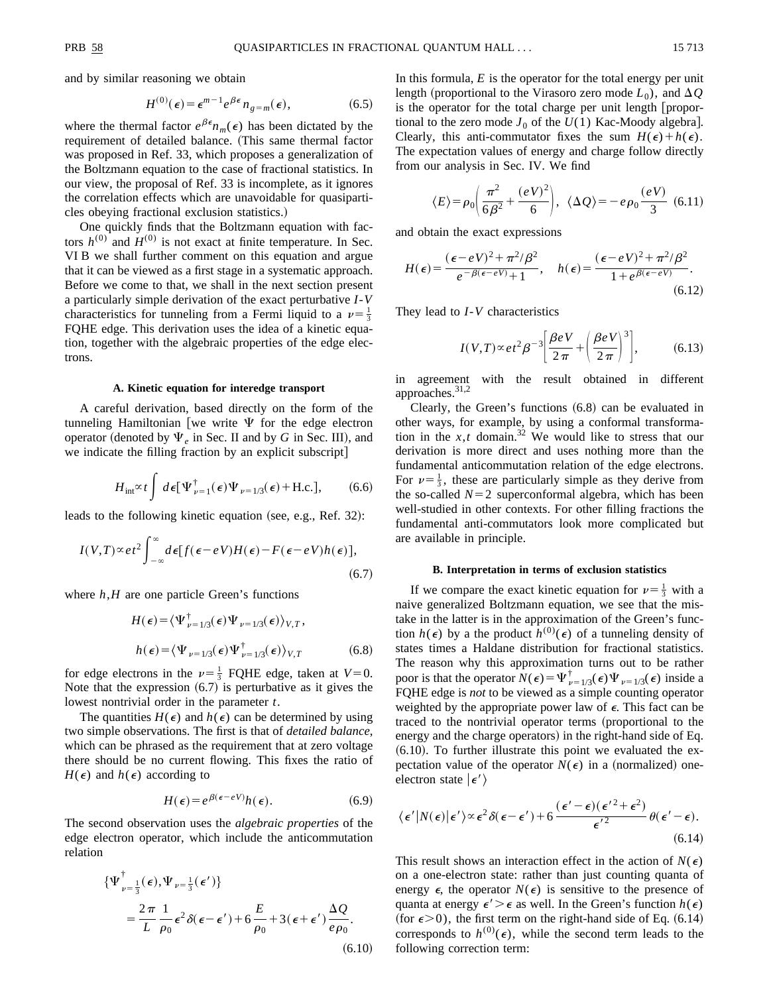and by similar reasoning we obtain

$$
H^{(0)}(\epsilon) = \epsilon^{m-1} e^{\beta \epsilon} n_{g=m}(\epsilon), \qquad (6.5)
$$

where the thermal factor  $e^{\beta \epsilon} n_m(\epsilon)$  has been dictated by the requirement of detailed balance. (This same thermal factor was proposed in Ref. 33, which proposes a generalization of the Boltzmann equation to the case of fractional statistics. In our view, the proposal of Ref. 33 is incomplete, as it ignores the correlation effects which are unavoidable for quasiparticles obeying fractional exclusion statistics.)

One quickly finds that the Boltzmann equation with factors  $h^{(0)}$  and  $H^{(0)}$  is not exact at finite temperature. In Sec. VI B we shall further comment on this equation and argue that it can be viewed as a first stage in a systematic approach. Before we come to that, we shall in the next section present a particularly simple derivation of the exact perturbative *I*-*V* characteristics for tunneling from a Fermi liquid to a  $\nu = \frac{1}{3}$ FQHE edge. This derivation uses the idea of a kinetic equation, together with the algebraic properties of the edge electrons.

#### **A. Kinetic equation for interedge transport**

A careful derivation, based directly on the form of the tunneling Hamiltonian [we write  $\Psi$  for the edge electron operator (denoted by  $\Psi_e$  in Sec. II and by *G* in Sec. III), and we indicate the filling fraction by an explicit subscript $\lfloor$ 

$$
H_{int} \propto t \int d\epsilon [\Psi_{\nu=1}^{\dagger}(\epsilon)\Psi_{\nu=1/3}(\epsilon)+\text{H.c.}], \quad (6.6)
$$

leads to the following kinetic equation (see, e.g., Ref.  $32$ ):

$$
I(V,T) \propto e^{t^2} \int_{-\infty}^{\infty} d\epsilon [f(\epsilon - eV)H(\epsilon) - F(\epsilon - eV)h(\epsilon)],
$$
\n(6.7)

where  $h$ , $H$  are one particle Green's functions

$$
H(\epsilon) = \langle \Psi_{\nu=1/3}^{\dagger}(\epsilon) \Psi_{\nu=1/3}(\epsilon) \rangle_{V,T},
$$
  

$$
h(\epsilon) = \langle \Psi_{\nu=1/3}(\epsilon) \Psi_{\nu=1/3}^{\dagger}(\epsilon) \rangle_{V,T}
$$
 (6.8)

for edge electrons in the  $\nu = \frac{1}{3}$  FQHE edge, taken at *V*=0. Note that the expression  $(6.7)$  is perturbative as it gives the lowest nontrivial order in the parameter *t*.

The quantities  $H(\epsilon)$  and  $h(\epsilon)$  can be determined by using two simple observations. The first is that of *detailed balance*, which can be phrased as the requirement that at zero voltage there should be no current flowing. This fixes the ratio of  $H(\epsilon)$  and  $h(\epsilon)$  according to

$$
H(\epsilon) = e^{\beta(\epsilon - eV)}h(\epsilon). \tag{6.9}
$$

The second observation uses the *algebraic properties* of the edge electron operator, which include the anticommutation relation

$$
\begin{split} \{\Psi_{\nu=\frac{1}{3}}^{\dagger}(\epsilon),\Psi_{\nu=\frac{1}{3}}(\epsilon')\} \\ &= \frac{2\pi}{L} \frac{1}{\rho_0} \epsilon^2 \delta(\epsilon-\epsilon') + 6\frac{E}{\rho_0} + 3(\epsilon+\epsilon') \frac{\Delta Q}{\rho_0} . \end{split} \tag{6.10}
$$

In this formula, *E* is the operator for the total energy per unit length (proportional to the Virasoro zero mode  $L_0$ ), and  $\Delta Q$ is the operator for the total charge per unit length [proportional to the zero mode  $J_0$  of the  $U(1)$  Kac-Moody algebra]. Clearly, this anti-commutator fixes the sum  $H(\epsilon)+h(\epsilon)$ . The expectation values of energy and charge follow directly from our analysis in Sec. IV. We find

$$
\langle E \rangle = \rho_0 \left( \frac{\pi^2}{6\beta^2} + \frac{(eV)^2}{6} \right), \quad \langle \Delta Q \rangle = -e\rho_0 \frac{(eV)}{3} \tag{6.11}
$$

and obtain the exact expressions

$$
H(\epsilon) = \frac{(\epsilon - eV)^2 + \pi^2/\beta^2}{e^{-\beta(\epsilon - eV)} + 1}, \quad h(\epsilon) = \frac{(\epsilon - eV)^2 + \pi^2/\beta^2}{1 + e^{\beta(\epsilon - eV)}}.
$$
\n(6.12)

They lead to *I*-*V* characteristics

$$
I(V,T) \propto e^{t^2} \beta^{-3} \left[ \frac{\beta eV}{2\pi} + \left( \frac{\beta eV}{2\pi} \right)^3 \right],
$$
 (6.13)

in agreement with the result obtained in different approaches.<sup>31,2</sup>

Clearly, the Green's functions  $(6.8)$  can be evaluated in other ways, for example, by using a conformal transformation in the  $x$ ,*t* domain.<sup>32</sup> We would like to stress that our derivation is more direct and uses nothing more than the fundamental anticommutation relation of the edge electrons. For  $\nu = \frac{1}{3}$ , these are particularly simple as they derive from the so-called  $N=2$  superconformal algebra, which has been well-studied in other contexts. For other filling fractions the fundamental anti-commutators look more complicated but are available in principle.

#### **B. Interpretation in terms of exclusion statistics**

If we compare the exact kinetic equation for  $\nu = \frac{1}{3}$  with a naive generalized Boltzmann equation, we see that the mistake in the latter is in the approximation of the Green's function  $h(\epsilon)$  by a the product  $h^{(0)}(\epsilon)$  of a tunneling density of states times a Haldane distribution for fractional statistics. The reason why this approximation turns out to be rather poor is that the operator  $N(\epsilon) = \Psi_{\nu=1/3}^{\dagger}(\epsilon) \Psi_{\nu=1/3}(\epsilon)$  inside a FQHE edge is *not* to be viewed as a simple counting operator weighted by the appropriate power law of  $\epsilon$ . This fact can be traced to the nontrivial operator terms (proportional to the energy and the charge operators) in the right-hand side of Eq.  $(6.10)$ . To further illustrate this point we evaluated the expectation value of the operator  $N(\epsilon)$  in a (normalized) oneelectron state  $\ket{\epsilon'}$ 

$$
\langle \epsilon' | N(\epsilon) | \epsilon' \rangle \propto \epsilon^2 \delta(\epsilon - \epsilon') + 6 \frac{(\epsilon' - \epsilon)(\epsilon'^2 + \epsilon^2)}{\epsilon'^2} \theta(\epsilon' - \epsilon).
$$
\n(6.14)

This result shows an interaction effect in the action of  $N(\epsilon)$ on a one-electron state: rather than just counting quanta of energy  $\epsilon$ , the operator  $N(\epsilon)$  is sensitive to the presence of quanta at energy  $\epsilon' > \epsilon$  as well. In the Green's function  $h(\epsilon)$ (for  $\epsilon$  > 0), the first term on the right-hand side of Eq. (6.14) corresponds to  $h^{(0)}(\epsilon)$ , while the second term leads to the following correction term: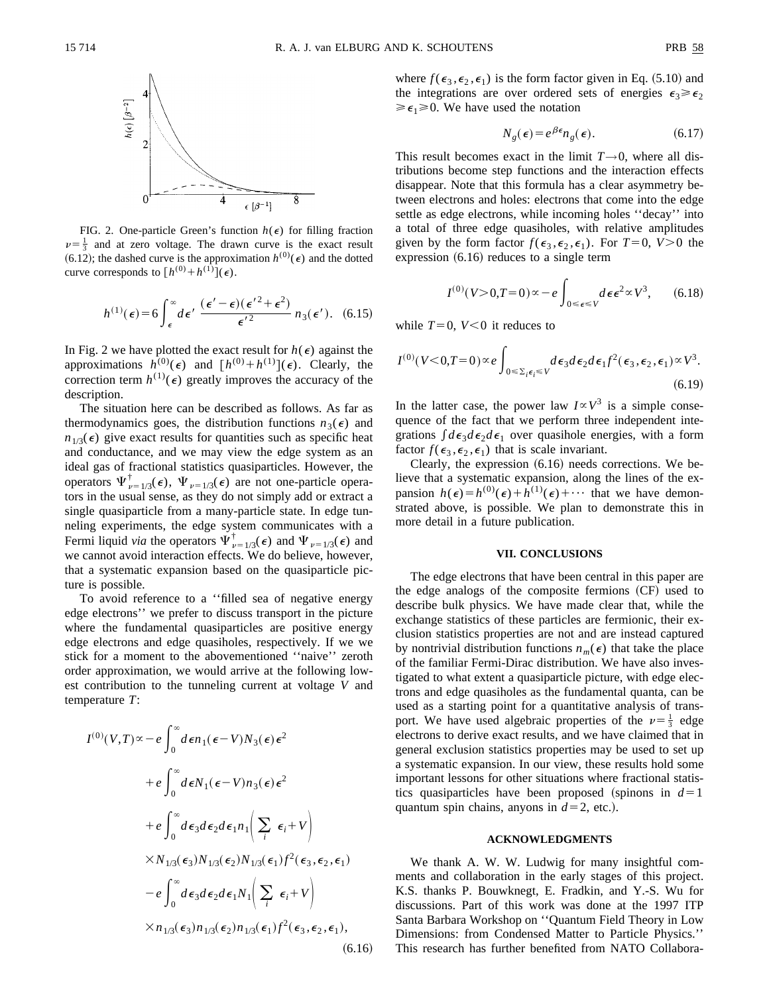

FIG. 2. One-particle Green's function  $h(\epsilon)$  for filling fraction  $\nu=\frac{1}{3}$  and at zero voltage. The drawn curve is the exact result (6.12); the dashed curve is the approximation  $h^{(0)}(\epsilon)$  and the dotted curve corresponds to  $[h^{(0)} + h^{(1)}](\epsilon)$ .

$$
h^{(1)}(\epsilon) = 6 \int_{\epsilon}^{\infty} d\epsilon' \frac{(\epsilon' - \epsilon)(\epsilon'^2 + \epsilon^2)}{\epsilon'^2} n_3(\epsilon'). \quad (6.15)
$$

In Fig. 2 we have plotted the exact result for  $h(\epsilon)$  against the approximations  $h^{(0)}(\epsilon)$  and  $[h^{(0)}+h^{(1)}](\epsilon)$ . Clearly, the correction term  $h^{(1)}(\epsilon)$  greatly improves the accuracy of the description.

The situation here can be described as follows. As far as thermodynamics goes, the distribution functions  $n_3(\epsilon)$  and  $n_{1/3}(\epsilon)$  give exact results for quantities such as specific heat and conductance, and we may view the edge system as an ideal gas of fractional statistics quasiparticles. However, the operators  $\Psi_{\nu=1/3}^{\dagger}(\epsilon)$ ,  $\Psi_{\nu=1/3}(\epsilon)$  are not one-particle operators in the usual sense, as they do not simply add or extract a single quasiparticle from a many-particle state. In edge tunneling experiments, the edge system communicates with a Fermi liquid *via* the operators  $\Psi_{\nu=1/3}^{\dagger}(\epsilon)$  and  $\Psi_{\nu=1/3}(\epsilon)$  and we cannot avoid interaction effects. We do believe, however, that a systematic expansion based on the quasiparticle picture is possible.

To avoid reference to a ''filled sea of negative energy edge electrons'' we prefer to discuss transport in the picture where the fundamental quasiparticles are positive energy edge electrons and edge quasiholes, respectively. If we we stick for a moment to the abovementioned ''naive'' zeroth order approximation, we would arrive at the following lowest contribution to the tunneling current at voltage *V* and temperature *T*:

$$
I^{(0)}(V,T) \propto -e \int_0^{\infty} d\epsilon n_1(\epsilon - V) N_3(\epsilon) \epsilon^2
$$
  
+  $e \int_0^{\infty} d\epsilon N_1(\epsilon - V) n_3(\epsilon) \epsilon^2$   
+  $e \int_0^{\infty} d\epsilon_3 d\epsilon_2 d\epsilon_1 n_1 \left( \sum_i \epsilon_i + V \right)$   
 $\times N_{1/3}(\epsilon_3) N_{1/3}(\epsilon_2) N_{1/3}(\epsilon_1) f^2(\epsilon_3, \epsilon_2, \epsilon_1)$   
-  $e \int_0^{\infty} d\epsilon_3 d\epsilon_2 d\epsilon_1 N_1 \left( \sum_i \epsilon_i + V \right)$   
 $\times n_{1/3}(\epsilon_3) n_{1/3}(\epsilon_2) n_{1/3}(\epsilon_1) f^2(\epsilon_3, \epsilon_2, \epsilon_1),$   
(6.16)

where  $f(\epsilon_3, \epsilon_2, \epsilon_1)$  is the form factor given in Eq. (5.10) and the integrations are over ordered sets of energies  $\epsilon_3 \geq \epsilon_2$  $\geq \epsilon_1 \geq 0$ . We have used the notation

$$
N_g(\epsilon) = e^{\beta \epsilon} n_g(\epsilon). \tag{6.17}
$$

This result becomes exact in the limit *T→*0, where all distributions become step functions and the interaction effects disappear. Note that this formula has a clear asymmetry between electrons and holes: electrons that come into the edge settle as edge electrons, while incoming holes ''decay'' into a total of three edge quasiholes, with relative amplitudes given by the form factor  $f(\epsilon_3, \epsilon_2, \epsilon_1)$ . For  $T=0$ ,  $V>0$  the expression  $(6.16)$  reduces to a single term

$$
I^{(0)}(V>0,T=0) \propto -e \int_{0 \le \epsilon \le V} d\epsilon \epsilon^2 \propto V^3, \qquad (6.18)
$$

while  $T=0$ ,  $V<0$  it reduces to

$$
I^{(0)}(V<0,T=0) \propto e \int_{0 \le \sum_{i} \epsilon_i \le V} d\epsilon_3 d\epsilon_2 d\epsilon_1 f^2(\epsilon_3, \epsilon_2, \epsilon_1) \propto V^3.
$$
\n(6.19)

In the latter case, the power law  $I \propto V^3$  is a simple consequence of the fact that we perform three independent integrations  $\int d\epsilon_3 d\epsilon_2 d\epsilon_1$  over quasihole energies, with a form factor  $f(\epsilon_3, \epsilon_2, \epsilon_1)$  that is scale invariant.

Clearly, the expression  $(6.16)$  needs corrections. We believe that a systematic expansion, along the lines of the expansion  $h(\epsilon) = h^{(0)}(\epsilon) + \bar{h}^{(1)}(\epsilon) + \cdots$  that we have demonstrated above, is possible. We plan to demonstrate this in more detail in a future publication.

#### **VII. CONCLUSIONS**

The edge electrons that have been central in this paper are the edge analogs of the composite fermions  $(CF)$  used to describe bulk physics. We have made clear that, while the exchange statistics of these particles are fermionic, their exclusion statistics properties are not and are instead captured by nontrivial distribution functions  $n_m(\epsilon)$  that take the place of the familiar Fermi-Dirac distribution. We have also investigated to what extent a quasiparticle picture, with edge electrons and edge quasiholes as the fundamental quanta, can be used as a starting point for a quantitative analysis of transport. We have used algebraic properties of the  $\nu = \frac{1}{3}$  edge electrons to derive exact results, and we have claimed that in general exclusion statistics properties may be used to set up a systematic expansion. In our view, these results hold some important lessons for other situations where fractional statistics quasiparticles have been proposed (spinons in  $d=1$ quantum spin chains, anyons in  $d=2$ , etc.).

#### **ACKNOWLEDGMENTS**

We thank A. W. W. Ludwig for many insightful comments and collaboration in the early stages of this project. K.S. thanks P. Bouwknegt, E. Fradkin, and Y.-S. Wu for discussions. Part of this work was done at the 1997 ITP Santa Barbara Workshop on ''Quantum Field Theory in Low Dimensions: from Condensed Matter to Particle Physics.'' This research has further benefited from NATO Collabora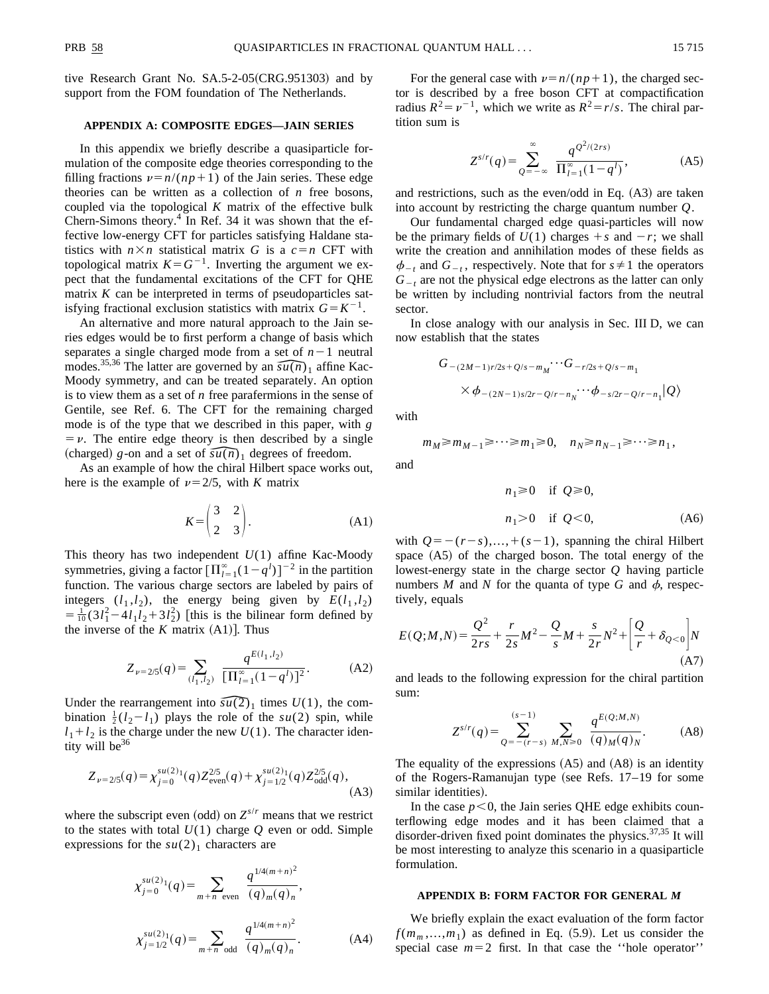tive Research Grant No.  $SA.5-2-05(CRG.951303)$  and by support from the FOM foundation of The Netherlands.

#### **APPENDIX A: COMPOSITE EDGES—JAIN SERIES**

In this appendix we briefly describe a quasiparticle formulation of the composite edge theories corresponding to the filling fractions  $\nu = n/(np+1)$  of the Jain series. These edge theories can be written as a collection of *n* free bosons, coupled via the topological *K* matrix of the effective bulk Chern-Simons theory. $4$  In Ref. 34 it was shown that the effective low-energy CFT for particles satisfying Haldane statistics with  $n \times n$  statistical matrix *G* is a  $c = n$  CFT with topological matrix  $K = G^{-1}$ . Inverting the argument we expect that the fundamental excitations of the CFT for QHE matrix *K* can be interpreted in terms of pseudoparticles satisfying fractional exclusion statistics with matrix  $G = K^{-1}$ .

An alternative and more natural approach to the Jain series edges would be to first perform a change of basis which separates a single charged mode from a set of  $n-1$  neutral modes.<sup>35,36</sup> The latter are governed by an  $\widehat{su(n)}_1$  affine Kac-Moody symmetry, and can be treated separately. An option is to view them as a set of *n* free parafermions in the sense of Gentile, see Ref. 6. The CFT for the remaining charged mode is of the type that we described in this paper, with *g*  $= v$ . The entire edge theory is then described by a single (charged) *g*-on and a set of  $\widehat{su(n)}_1$  degrees of freedom.<br>As an example of how the chiral Hilbert space works out,

here is the example of  $\nu=2/5$ , with *K* matrix

$$
K = \begin{pmatrix} 3 & 2 \\ 2 & 3 \end{pmatrix} .
$$
 (A1)

This theory has two independent  $U(1)$  affine Kac-Moody symmetries, giving a factor  $\left[\prod_{l=1}^{\infty}(1-q^l)\right]^{-2}$  in the partition function. The various charge sectors are labeled by pairs of integers  $(l_1, l_2)$ , the energy being given by  $E(l_1, l_2)$  $= \frac{1}{10} (3l_1^2 - 4l_1l_2 + 3l_2^2)$  [this is the bilinear form defined by the inverse of the  $K$  matrix  $(A1)$ . Thus

$$
Z_{\nu=2/5}(q) = \sum_{(l_1,l_2)} \frac{q^{E(l_1,l_2)}}{\prod_{l=1}^{\infty} (1-q^l)\,l^2}.
$$
 (A2)

Under the rearrangement into  $\widehat{su(2)}_1$  times  $U(1)$ , the combination  $\frac{1}{2}(l_2-l_1)$  plays the role of the  $su(2)$  spin, while  $l_1 + l_2$  is the charge under the new  $U(1)$ . The character identity will be $36$ 

$$
Z_{\nu=2/5}(q) = \chi_{j=0}^{su(2)_1}(q) Z_{\text{even}}^{2/5}(q) + \chi_{j=1/2}^{su(2)_1}(q) Z_{\text{odd}}^{2/5}(q),
$$
\n(A3)

where the subscript even (odd) on  $Z^{s/r}$  means that we restrict to the states with total  $U(1)$  charge  $Q$  even or odd. Simple expressions for the  $su(2)$ <sub>1</sub> characters are

$$
\chi_{j=0}^{su(2)_1}(q) = \sum_{m+n \text{ even}} \frac{q^{1/4(m+n)^2}}{(q)_m(q)_n},
$$
  

$$
\chi_{j=1/2}^{su(2)_1}(q) = \sum_{m+n \text{ odd}} \frac{q^{1/4(m+n)^2}}{(q)_m(q)_n}.
$$
 (A4)

For the general case with  $\nu = n/(np+1)$ , the charged sector is described by a free boson CFT at compactification radius  $R^2 = \nu^{-1}$ , which we write as  $R^2 = r/s$ . The chiral partition sum is

$$
Z^{s/r}(q) = \sum_{Q=-\infty}^{\infty} \frac{q^{Q^2/(2rs)}}{\prod_{l=1}^{\infty} (1-q^l)},
$$
 (A5)

and restrictions, such as the even/odd in Eq.  $(A3)$  are taken into account by restricting the charge quantum number *Q*.

Our fundamental charged edge quasi-particles will now be the primary fields of  $U(1)$  charges  $+s$  and  $-r$ ; we shall write the creation and annihilation modes of these fields as  $\phi_{-t}$  and  $G_{-t}$ , respectively. Note that for  $s \neq 1$  the operators  $G_{-t}$  are not the physical edge electrons as the latter can only be written by including nontrivial factors from the neutral sector.

In close analogy with our analysis in Sec. III D, we can now establish that the states

$$
G_{-(2M-1)r/2s+Q/s-m_{M}} \cdots G_{-r/2s+Q/s-m_{1}}
$$
  
 
$$
\times \phi_{-(2N-1)s/2r-Q/r-n_{N}} \cdots \phi_{-s/2r-Q/r-n_{1}} |Q\rangle
$$

with

$$
m_M \ge m_{M-1} \ge \cdots \ge m_1 \ge 0, \quad n_N \ge n_{N-1} \ge \cdots \ge n_1,
$$

and

$$
n_1 \ge 0 \quad \text{if } Q \ge 0,
$$
  

$$
n_1 > 0 \quad \text{if } Q < 0,
$$
 (A6)

with  $Q = -(r-s)$ ,...,  $+(s-1)$ , spanning the chiral Hilbert space  $(A5)$  of the charged boson. The total energy of the lowest-energy state in the charge sector *Q* having particle numbers *M* and *N* for the quanta of type *G* and  $\phi$ , respectively, equals

$$
E(Q;M,N) = \frac{Q^2}{2rs} + \frac{r}{2s}M^2 - \frac{Q}{s}M + \frac{s}{2r}N^2 + \left[\frac{Q}{r} + \delta_{Q<0}\right]N
$$
\n(A7)

and leads to the following expression for the chiral partition sum:

$$
Z^{s/r}(q) = \sum_{Q=-\left(r-s\right)}^{\left(s-1\right)} \sum_{M,N\geq 0} \frac{q^{E(Q;M,N)}}{(q)_M(q)_N}.
$$
 (A8)

The equality of the expressions  $(A5)$  and  $(A8)$  is an identity of the Rogers-Ramanujan type (see Refs.  $17-19$  for some similar identities).

In the case  $p<0$ , the Jain series QHE edge exhibits counterflowing edge modes and it has been claimed that a disorder-driven fixed point dominates the physics.<sup>37,35</sup> It will be most interesting to analyze this scenario in a quasiparticle formulation.

#### **APPENDIX B: FORM FACTOR FOR GENERAL** *M*

We briefly explain the exact evaluation of the form factor  $f(m_m, \ldots, m_1)$  as defined in Eq.  $(5.9)$ . Let us consider the special case  $m=2$  first. In that case the "hole operator"